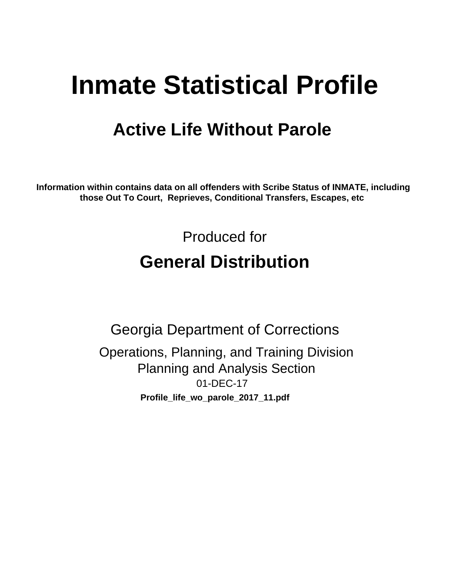# **Inmate Statistical Profile**

# **Active Life Without Parole**

Information within contains data on all offenders with Scribe Status of INMATE, including those Out To Court, Reprieves, Conditional Transfers, Escapes, etc

> Produced for **General Distribution**

**Georgia Department of Corrections** Operations, Planning, and Training Division **Planning and Analysis Section** 01-DEC-17 Profile\_life\_wo\_parole\_2017\_11.pdf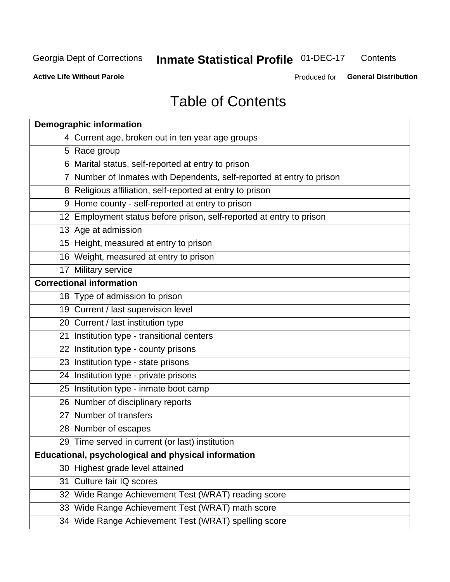#### **Inmate Statistical Profile 01-DEC-17** Contents

**Active Life Without Parole** 

Produced for General Distribution

# **Table of Contents**

| <b>Demographic information</b>                                        |
|-----------------------------------------------------------------------|
| 4 Current age, broken out in ten year age groups                      |
| 5 Race group                                                          |
| 6 Marital status, self-reported at entry to prison                    |
| 7 Number of Inmates with Dependents, self-reported at entry to prison |
| 8 Religious affiliation, self-reported at entry to prison             |
| 9 Home county - self-reported at entry to prison                      |
| 12 Employment status before prison, self-reported at entry to prison  |
| 13 Age at admission                                                   |
| 15 Height, measured at entry to prison                                |
| 16 Weight, measured at entry to prison                                |
| 17 Military service                                                   |
| <b>Correctional information</b>                                       |
| 18 Type of admission to prison                                        |
| 19 Current / last supervision level                                   |
| 20 Current / last institution type                                    |
| 21 Institution type - transitional centers                            |
| 22 Institution type - county prisons                                  |
| 23 Institution type - state prisons                                   |
| 24 Institution type - private prisons                                 |
| 25 Institution type - inmate boot camp                                |
| 26 Number of disciplinary reports                                     |
| 27 Number of transfers                                                |
| 28 Number of escapes                                                  |
| 29 Time served in current (or last) institution                       |
| Educational, psychological and physical information                   |
| 30 Highest grade level attained                                       |
| 31 Culture fair IQ scores                                             |
| 32 Wide Range Achievement Test (WRAT) reading score                   |
| 33 Wide Range Achievement Test (WRAT) math score                      |
| 34 Wide Range Achievement Test (WRAT) spelling score                  |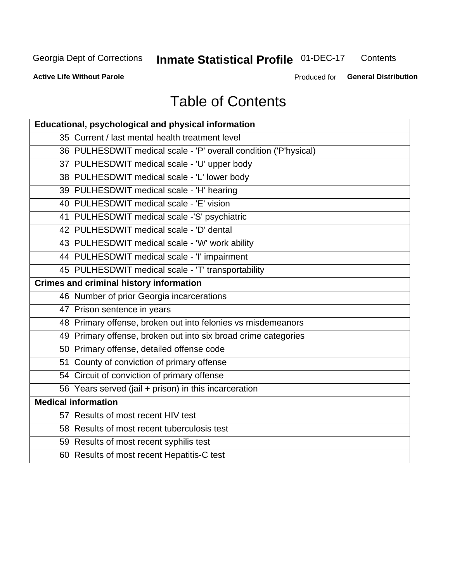# **Inmate Statistical Profile 01-DEC-17**

Contents

**Active Life Without Parole** 

Produced for General Distribution

# **Table of Contents**

| Educational, psychological and physical information              |
|------------------------------------------------------------------|
| 35 Current / last mental health treatment level                  |
| 36 PULHESDWIT medical scale - 'P' overall condition ('P'hysical) |
| 37 PULHESDWIT medical scale - 'U' upper body                     |
| 38 PULHESDWIT medical scale - 'L' lower body                     |
| 39 PULHESDWIT medical scale - 'H' hearing                        |
| 40 PULHESDWIT medical scale - 'E' vision                         |
| 41 PULHESDWIT medical scale -'S' psychiatric                     |
| 42 PULHESDWIT medical scale - 'D' dental                         |
| 43 PULHESDWIT medical scale - 'W' work ability                   |
| 44 PULHESDWIT medical scale - 'I' impairment                     |
| 45 PULHESDWIT medical scale - 'T' transportability               |
| <b>Crimes and criminal history information</b>                   |
| 46 Number of prior Georgia incarcerations                        |
| 47 Prison sentence in years                                      |
| 48 Primary offense, broken out into felonies vs misdemeanors     |
| 49 Primary offense, broken out into six broad crime categories   |
| 50 Primary offense, detailed offense code                        |
| 51 County of conviction of primary offense                       |
| 54 Circuit of conviction of primary offense                      |
| 56 Years served (jail + prison) in this incarceration            |
| <b>Medical information</b>                                       |
| 57 Results of most recent HIV test                               |
| 58 Results of most recent tuberculosis test                      |
| 59 Results of most recent syphilis test                          |
| 60 Results of most recent Hepatitis-C test                       |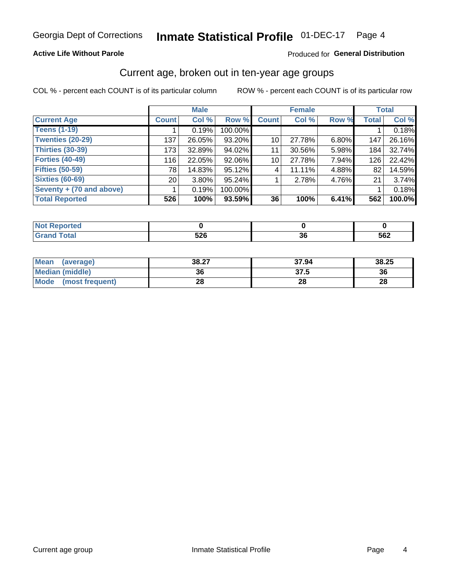### **Active Life Without Parole**

### Produced for General Distribution

# Current age, broken out in ten-year age groups

COL % - percent each COUNT is of its particular column

|                          | <b>Male</b>  |          |         |              | <b>Female</b> |       |              | <b>Total</b> |
|--------------------------|--------------|----------|---------|--------------|---------------|-------|--------------|--------------|
| <b>Current Age</b>       | <b>Count</b> | Col %    | Row %   | <b>Count</b> | Col %         | Row % | <b>Total</b> | Col %        |
| <b>Teens (1-19)</b>      |              | 0.19%    | 100.00% |              |               |       |              | 0.18%        |
| <b>Twenties (20-29)</b>  | 137          | 26.05%   | 93.20%  | 10           | 27.78%        | 6.80% | 147          | 26.16%       |
| Thirties (30-39)         | 173          | 32.89%   | 94.02%  | 11           | 30.56%        | 5.98% | 184          | 32.74%       |
| <b>Forties (40-49)</b>   | 116          | 22.05%   | 92.06%  | 10           | 27.78%        | 7.94% | 126          | 22.42%       |
| <b>Fifties (50-59)</b>   | 78           | 14.83%   | 95.12%  | 4            | 11.11%        | 4.88% | 82           | 14.59%       |
| <b>Sixties (60-69)</b>   | 20           | $3.80\%$ | 95.24%  |              | 2.78%         | 4.76% | 21           | 3.74%        |
| Seventy + (70 and above) |              | 0.19%    | 100.00% |              |               |       |              | 0.18%        |
| <b>Total Reported</b>    | 526          | 100%     | 93.59%  | 36           | 100%          | 6.41% | 562          | 100.0%       |

| тес.    |                           |           |     |
|---------|---------------------------|-----------|-----|
| $T = 4$ | <b>EOC</b><br>しんし<br>$ -$ | ^^<br>.JU | 562 |

| <b>Mean</b><br>(average) | 38.27 | 37.94 | 38.25 |
|--------------------------|-------|-------|-------|
| Median (middle)          | 36    | 37.5  | 36    |
| Mode<br>(most frequent)  | 28    | 28    | 28    |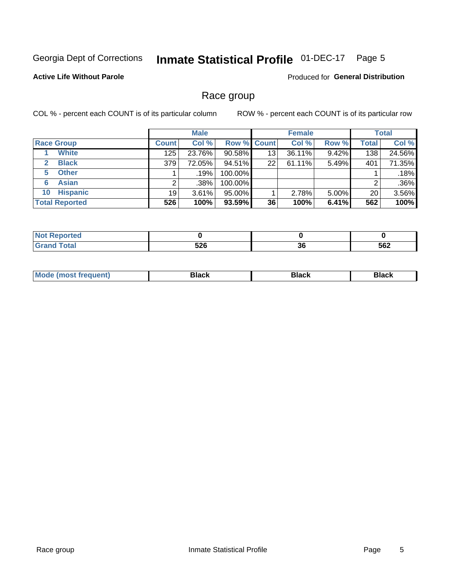#### **Inmate Statistical Profile 01-DEC-17** Page 5

## **Active Life Without Parole**

**Produced for General Distribution** 

# Race group

COL % - percent each COUNT is of its particular column

|                              | <b>Male</b>  |         |           | <b>Female</b>      |           |          | <b>Total</b> |         |
|------------------------------|--------------|---------|-----------|--------------------|-----------|----------|--------------|---------|
| <b>Race Group</b>            | <b>Count</b> | Col %   |           | <b>Row % Count</b> | Col %     | Row %    | Total        | Col %   |
| <b>White</b>                 | 125          | 23.76%  | $90.58\%$ | 13                 | $36.11\%$ | 9.42%    | 138          | 24.56%  |
| <b>Black</b><br>$\mathbf{2}$ | 379          | 72.05%  | 94.51%    | 22                 | 61.11%    | 5.49%    | 401          | 71.35%  |
| <b>Other</b><br>5.           |              | $.19\%$ | 100.00%   |                    |           |          |              | .18%    |
| <b>Asian</b><br>6            |              | .38%    | 100.00%   |                    |           |          | 2            | $.36\%$ |
| <b>Hispanic</b><br>10        | 19           | 3.61%   | 95.00%    |                    | 2.78%     | $5.00\%$ | 20           | 3.56%   |
| <b>Total Reported</b>        | 526          | 100%    | $93.59\%$ | 36                 | 100%      | 6.41%    | 562          | 100%    |

| neo     |            |     |     |
|---------|------------|-----|-----|
| المفماد | <b>EOC</b> | n,  | -00 |
|         | ◡▴◡        | oc, | 562 |

| M |  |  |
|---|--|--|
|   |  |  |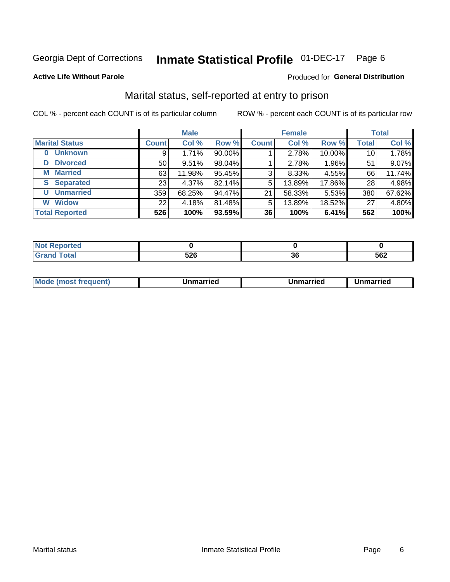#### **Inmate Statistical Profile 01-DEC-17** Page 6

### **Active Life Without Parole**

## **Produced for General Distribution**

# Marital status, self-reported at entry to prison

COL % - percent each COUNT is of its particular column

|                            | <b>Male</b>     |        |        | <b>Female</b> |        |        | <b>Total</b> |        |
|----------------------------|-----------------|--------|--------|---------------|--------|--------|--------------|--------|
| <b>Marital Status</b>      | <b>Count</b>    | Col %  | Row %  | <b>Count</b>  | Col %  | Row %  | <b>Total</b> | Col %  |
| <b>Unknown</b><br>$\bf{0}$ | 9               | 1.71%  | 90.00% |               | 2.78%  | 10.00% | 10           | 1.78%  |
| <b>Divorced</b><br>D       | 50              | 9.51%  | 98.04% |               | 2.78%  | 1.96%  | 51           | 9.07%  |
| <b>Married</b><br>М        | 63              | 11.98% | 95.45% | 3             | 8.33%  | 4.55%  | 66           | 11.74% |
| <b>S</b> Separated         | 23 <sub>1</sub> | 4.37%  | 82.14% | 5             | 13.89% | 17.86% | 28           | 4.98%  |
| <b>Unmarried</b><br>U      | 359             | 68.25% | 94.47% | 21            | 58.33% | 5.53%  | 380          | 67.62% |
| <b>Widow</b><br>W          | 22              | 4.18%  | 81.48% | 5             | 13.89% | 18.52% | 27           | 4.80%  |
| <b>Total Reported</b>      | 526             | 100%   | 93.59% | 36            | 100%   | 6.41%  | 562          | 100%   |

| <b>prteg</b><br>NOT |            |    |     |
|---------------------|------------|----|-----|
|                     | .^^<br>JLV | აი | 562 |

|  | Mo | ımarrıed | Unmarried | Unmarried |
|--|----|----------|-----------|-----------|
|--|----|----------|-----------|-----------|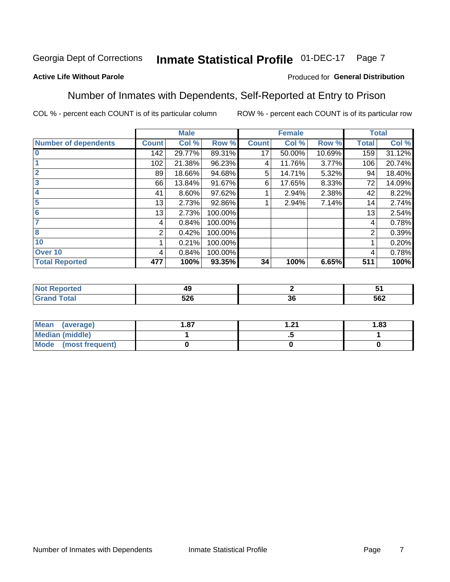#### Inmate Statistical Profile 01-DEC-17 Page 7

## **Active Life Without Parole**

### Produced for General Distribution

# Number of Inmates with Dependents, Self-Reported at Entry to Prison

COL % - percent each COUNT is of its particular column

|                             |              | <b>Male</b> |         |              | <b>Female</b> |        |              | <b>Total</b> |
|-----------------------------|--------------|-------------|---------|--------------|---------------|--------|--------------|--------------|
| <b>Number of dependents</b> | <b>Count</b> | Col %       | Row %   | <b>Count</b> | Col %         | Row %  | <b>Total</b> | Col %        |
| $\bf{0}$                    | 142          | 29.77%      | 89.31%  | 17           | 50.00%        | 10.69% | 159          | 31.12%       |
|                             | 102          | 21.38%      | 96.23%  | 4            | 11.76%        | 3.77%  | 106          | 20.74%       |
| $\overline{2}$              | 89           | 18.66%      | 94.68%  | 5            | 14.71%        | 5.32%  | 94           | 18.40%       |
| 3                           | 66           | 13.84%      | 91.67%  | 6            | 17.65%        | 8.33%  | 72           | 14.09%       |
| 4                           | 41           | 8.60%       | 97.62%  |              | 2.94%         | 2.38%  | 42           | 8.22%        |
| 5                           | 13           | 2.73%       | 92.86%  |              | 2.94%         | 7.14%  | 14           | 2.74%        |
| 6                           | 13           | 2.73%       | 100.00% |              |               |        | 13           | 2.54%        |
| 7                           | 4            | 0.84%       | 100.00% |              |               |        | 4            | 0.78%        |
| 8                           | 2            | 0.42%       | 100.00% |              |               |        | 2            | 0.39%        |
| 10                          |              | 0.21%       | 100.00% |              |               |        |              | 0.20%        |
| Over 10                     | 4            | 0.84%       | 100.00% |              |               |        | 4            | 0.78%        |
| <b>Total Reported</b>       | 477          | 100%        | 93.35%  | 34           | 100%          | 6.65%  | 511          | 100%         |

| 43 |                           |             |     |
|----|---------------------------|-------------|-----|
|    | r <u>n r</u><br>ง∠ง<br>__ | $\sim$<br>◡ | 562 |

| <b>Mean</b><br>(average) | . 87 | - 24<br>. | 1.83 |
|--------------------------|------|-----------|------|
| <b>Median (middle)</b>   |      | - 3       |      |
| Mode (most frequent)     |      |           |      |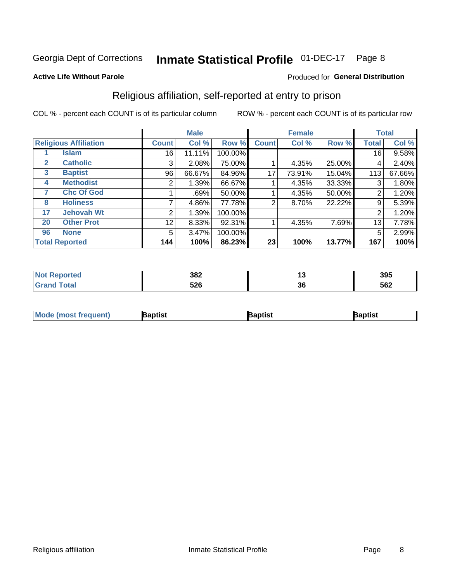#### **Inmate Statistical Profile 01-DEC-17** Page 8

### **Active Life Without Parole**

### Produced for General Distribution

# Religious affiliation, self-reported at entry to prison

COL % - percent each COUNT is of its particular column

|              |                              | <b>Male</b>  |        |         |              | <b>Female</b> |        |       | <b>Total</b> |  |
|--------------|------------------------------|--------------|--------|---------|--------------|---------------|--------|-------|--------------|--|
|              | <b>Religious Affiliation</b> | <b>Count</b> | Col %  | Row %   | <b>Count</b> | Col %         | Row %  | Total | Col %        |  |
|              | <b>Islam</b>                 | 16           | 11.11% | 100.00% |              |               |        | 16    | 9.58%        |  |
| $\mathbf{2}$ | <b>Catholic</b>              | 3            | 2.08%  | 75.00%  |              | 4.35%         | 25.00% | 4     | 2.40%        |  |
| 3            | <b>Baptist</b>               | 96           | 66.67% | 84.96%  | 17           | 73.91%        | 15.04% | 113   | 67.66%       |  |
| 4            | <b>Methodist</b>             |              | 1.39%  | 66.67%  |              | 4.35%         | 33.33% | 3     | 1.80%        |  |
|              | <b>Chc Of God</b>            |              | .69%   | 50.00%  |              | 4.35%         | 50.00% | 2     | 1.20%        |  |
| 8            | <b>Holiness</b>              |              | 4.86%  | 77.78%  | 2            | 8.70%         | 22.22% | 9     | 5.39%        |  |
| 17           | <b>Jehovah Wt</b>            | 2            | 1.39%  | 100.00% |              |               |        | 2     | 1.20%        |  |
| 20           | <b>Other Prot</b>            | 12           | 8.33%  | 92.31%  |              | 4.35%         | 7.69%  | 13    | 7.78%        |  |
| 96           | <b>None</b>                  | 5            | 3.47%  | 100.00% |              |               |        | 5     | 2.99%        |  |
|              | <b>Total Reported</b>        | 144          | 100%   | 86.23%  | 23           | 100%          | 13.77% | 167   | 100%         |  |

| 382        |              | 395 |
|------------|--------------|-----|
| につに<br>JŁU | $\sim$<br>uu | 562 |

| <b>Mou</b><br>Treauent) | aptist | 'aptıst | ˈaɒtis৷ |
|-------------------------|--------|---------|---------|
|                         |        |         |         |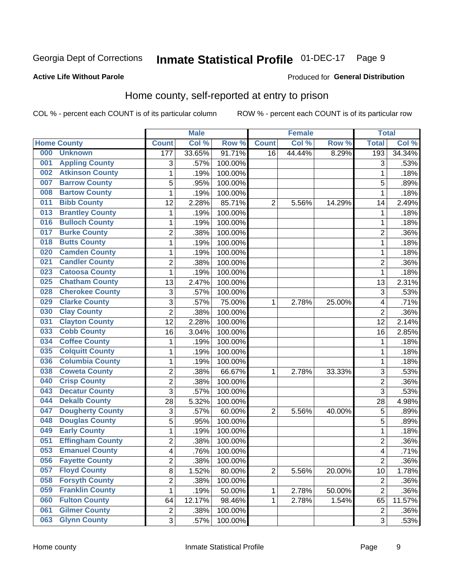#### **Inmate Statistical Profile 01-DEC-17** Page 9

### **Active Life Without Parole**

## **Produced for General Distribution**

# Home county, self-reported at entry to prison

COL % - percent each COUNT is of its particular column

|     |                         |                | <b>Male</b> |         |                | <b>Female</b> |        | <b>Total</b>     |        |
|-----|-------------------------|----------------|-------------|---------|----------------|---------------|--------|------------------|--------|
|     | <b>Home County</b>      | <b>Count</b>   | Col %       | Row %   | <b>Count</b>   | Col %         | Row %  | <b>Total</b>     | Col %  |
| 000 | <b>Unknown</b>          | 177            | 33.65%      | 91.71%  | 16             | 44.44%        | 8.29%  | 193              | 34.34% |
| 001 | <b>Appling County</b>   | 3              | .57%        | 100.00% |                |               |        | 3                | .53%   |
| 002 | <b>Atkinson County</b>  | $\mathbf 1$    | .19%        | 100.00% |                |               |        | 1                | .18%   |
| 007 | <b>Barrow County</b>    | 5              | .95%        | 100.00% |                |               |        | 5                | .89%   |
| 008 | <b>Bartow County</b>    | $\mathbf{1}$   | .19%        | 100.00% |                |               |        | 1                | .18%   |
| 011 | <b>Bibb County</b>      | 12             | 2.28%       | 85.71%  | $\overline{2}$ | 5.56%         | 14.29% | 14               | 2.49%  |
| 013 | <b>Brantley County</b>  | 1              | .19%        | 100.00% |                |               |        | 1                | .18%   |
| 016 | <b>Bulloch County</b>   | 1              | .19%        | 100.00% |                |               |        | 1                | .18%   |
| 017 | <b>Burke County</b>     | $\overline{2}$ | .38%        | 100.00% |                |               |        | $\overline{2}$   | .36%   |
| 018 | <b>Butts County</b>     | $\mathbf 1$    | .19%        | 100.00% |                |               |        | 1                | .18%   |
| 020 | <b>Camden County</b>    | $\mathbf 1$    | .19%        | 100.00% |                |               |        | 1                | .18%   |
| 021 | <b>Candler County</b>   | $\overline{c}$ | .38%        | 100.00% |                |               |        | $\overline{2}$   | .36%   |
| 023 | <b>Catoosa County</b>   | $\mathbf{1}$   | .19%        | 100.00% |                |               |        | 1                | .18%   |
| 025 | <b>Chatham County</b>   | 13             | 2.47%       | 100.00% |                |               |        | 13               | 2.31%  |
| 028 | <b>Cherokee County</b>  | 3              | .57%        | 100.00% |                |               |        | 3                | .53%   |
| 029 | <b>Clarke County</b>    | 3              | .57%        | 75.00%  | 1              | 2.78%         | 25.00% | 4                | .71%   |
| 030 | <b>Clay County</b>      | $\overline{2}$ | .38%        | 100.00% |                |               |        | $\overline{2}$   | .36%   |
| 031 | <b>Clayton County</b>   | 12             | 2.28%       | 100.00% |                |               |        | 12               | 2.14%  |
| 033 | <b>Cobb County</b>      | 16             | 3.04%       | 100.00% |                |               |        | 16               | 2.85%  |
| 034 | <b>Coffee County</b>    | 1              | .19%        | 100.00% |                |               |        | 1                | .18%   |
| 035 | <b>Colquitt County</b>  | $\mathbf 1$    | .19%        | 100.00% |                |               |        | 1                | .18%   |
| 036 | <b>Columbia County</b>  | $\mathbf 1$    | .19%        | 100.00% |                |               |        | 1                | .18%   |
| 038 | <b>Coweta County</b>    | $\overline{2}$ | .38%        | 66.67%  | 1              | 2.78%         | 33.33% | 3                | .53%   |
| 040 | <b>Crisp County</b>     | $\overline{c}$ | .38%        | 100.00% |                |               |        | $\overline{2}$   | .36%   |
| 043 | <b>Decatur County</b>   | 3              | .57%        | 100.00% |                |               |        | 3                | .53%   |
| 044 | <b>Dekalb County</b>    | 28             | 5.32%       | 100.00% |                |               |        | 28               | 4.98%  |
| 047 | <b>Dougherty County</b> | 3              | .57%        | 60.00%  | $\overline{2}$ | 5.56%         | 40.00% | 5                | .89%   |
| 048 | <b>Douglas County</b>   | 5              | .95%        | 100.00% |                |               |        | 5                | .89%   |
| 049 | <b>Early County</b>     | $\mathbf 1$    | .19%        | 100.00% |                |               |        | 1                | .18%   |
| 051 | <b>Effingham County</b> | $\overline{c}$ | .38%        | 100.00% |                |               |        | $\overline{2}$   | .36%   |
| 053 | <b>Emanuel County</b>   | 4              | .76%        | 100.00% |                |               |        | 4                | .71%   |
| 056 | <b>Fayette County</b>   | 2              | .38%        | 100.00% |                |               |        | $\overline{2}$   | .36%   |
| 057 | <b>Floyd County</b>     | 8              | 1.52%       | 80.00%  | $\overline{2}$ | 5.56%         | 20.00% | 10               | 1.78%  |
| 058 | <b>Forsyth County</b>   | $\overline{c}$ | .38%        | 100.00% |                |               |        | $\overline{2}$   | .36%   |
| 059 | <b>Franklin County</b>  | $\mathbf{1}$   | .19%        | 50.00%  | 1              | 2.78%         | 50.00% | $\overline{2}$   | .36%   |
| 060 | <b>Fulton County</b>    | 64             | 12.17%      | 98.46%  | 1              | 2.78%         | 1.54%  | 65               | 11.57% |
| 061 | <b>Gilmer County</b>    | $\overline{2}$ | .38%        | 100.00% |                |               |        | $\boldsymbol{2}$ | .36%   |
| 063 | <b>Glynn County</b>     | 3              | .57%        | 100.00% |                |               |        | 3                | .53%   |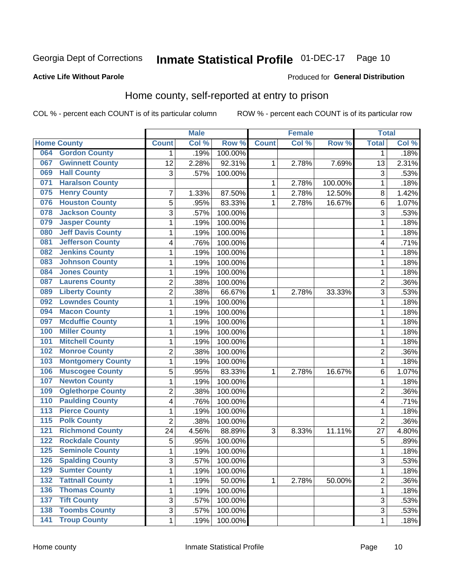#### Inmate Statistical Profile 01-DEC-17 Page 10

### **Active Life Without Parole**

## **Produced for General Distribution**

# Home county, self-reported at entry to prison

COL % - percent each COUNT is of its particular column

|                  |                          |                         | <b>Male</b> |         |              | <b>Female</b> |         | <b>Total</b>   |         |
|------------------|--------------------------|-------------------------|-------------|---------|--------------|---------------|---------|----------------|---------|
|                  | <b>Home County</b>       | <b>Count</b>            | Col %       | Row %   | <b>Count</b> | Col %         | Row %   | <b>Total</b>   | Col %   |
| 064              | <b>Gordon County</b>     | 1                       | .19%        | 100.00% |              |               |         | 1              | .18%    |
| 067              | <b>Gwinnett County</b>   | 12                      | 2.28%       | 92.31%  | 1            | 2.78%         | 7.69%   | 13             | 2.31%   |
| 069              | <b>Hall County</b>       | 3                       | .57%        | 100.00% |              |               |         | 3              | .53%    |
| 071              | <b>Haralson County</b>   |                         |             |         | 1            | 2.78%         | 100.00% | 1              | .18%    |
| 075              | <b>Henry County</b>      | $\overline{7}$          | 1.33%       | 87.50%  | 1            | 2.78%         | 12.50%  | 8              | 1.42%   |
| 076              | <b>Houston County</b>    | 5                       | .95%        | 83.33%  | 1            | 2.78%         | 16.67%  | 6              | 1.07%   |
| 078              | <b>Jackson County</b>    | 3                       | .57%        | 100.00% |              |               |         | 3              | .53%    |
| 079              | <b>Jasper County</b>     | $\mathbf{1}$            | .19%        | 100.00% |              |               |         | 1              | .18%    |
| 080              | <b>Jeff Davis County</b> | $\mathbf{1}$            | .19%        | 100.00% |              |               |         | 1              | .18%    |
| 081              | <b>Jefferson County</b>  | $\overline{\mathbf{4}}$ | .76%        | 100.00% |              |               |         | 4              | .71%    |
| 082              | <b>Jenkins County</b>    | 1                       | .19%        | 100.00% |              |               |         | 1              | .18%    |
| 083              | <b>Johnson County</b>    | $\mathbf{1}$            | .19%        | 100.00% |              |               |         | 1              | .18%    |
| 084              | <b>Jones County</b>      | 1                       | .19%        | 100.00% |              |               |         | 1              | .18%    |
| 087              | <b>Laurens County</b>    | $\overline{2}$          | .38%        | 100.00% |              |               |         | $\overline{2}$ | .36%    |
| 089              | <b>Liberty County</b>    | $\overline{c}$          | .38%        | 66.67%  | 1            | 2.78%         | 33.33%  | 3              | .53%    |
| 092              | <b>Lowndes County</b>    | $\mathbf{1}$            | .19%        | 100.00% |              |               |         | 1              | .18%    |
| 094              | <b>Macon County</b>      | $\mathbf{1}$            | .19%        | 100.00% |              |               |         | 1              | .18%    |
| 097              | <b>Mcduffie County</b>   | $\mathbf{1}$            | .19%        | 100.00% |              |               |         | 1              | .18%    |
| 100              | <b>Miller County</b>     | 1                       | .19%        | 100.00% |              |               |         | 1              | .18%    |
| 101              | <b>Mitchell County</b>   | $\mathbf{1}$            | .19%        | 100.00% |              |               |         | 1              | .18%    |
| 102              | <b>Monroe County</b>     | $\overline{2}$          | .38%        | 100.00% |              |               |         | 2              | .36%    |
| 103              | <b>Montgomery County</b> | $\mathbf{1}$            | .19%        | 100.00% |              |               |         | 1              | .18%    |
| 106              | <b>Muscogee County</b>   | 5                       | .95%        | 83.33%  | 1            | 2.78%         | 16.67%  | 6              | 1.07%   |
| 107              | <b>Newton County</b>     | $\mathbf{1}$            | .19%        | 100.00% |              |               |         | 1              | .18%    |
| 109              | <b>Oglethorpe County</b> | $\overline{2}$          | .38%        | 100.00% |              |               |         | 2              | .36%    |
| 110              | <b>Paulding County</b>   | $\overline{\mathbf{4}}$ | .76%        | 100.00% |              |               |         | 4              | .71%    |
| 113              | <b>Pierce County</b>     | 1                       | .19%        | 100.00% |              |               |         | 1              | .18%    |
| $\overline{115}$ | <b>Polk County</b>       | $\overline{2}$          | .38%        | 100.00% |              |               |         | $\overline{2}$ | $.36\%$ |
| 121              | <b>Richmond County</b>   | 24                      | 4.56%       | 88.89%  | 3            | 8.33%         | 11.11%  | 27             | 4.80%   |
| 122              | <b>Rockdale County</b>   | 5                       | .95%        | 100.00% |              |               |         | 5              | $.89\%$ |
| 125              | <b>Seminole County</b>   | $\mathbf{1}$            | .19%        | 100.00% |              |               |         | 1              | .18%    |
| 126              | <b>Spalding County</b>   | 3                       | .57%        | 100.00% |              |               |         | 3              | .53%    |
| 129              | <b>Sumter County</b>     | $\mathbf{1}$            | .19%        | 100.00% |              |               |         | 1              | .18%    |
| $\overline{132}$ | <b>Tattnall County</b>   | $\mathbf 1$             | .19%        | 50.00%  | $\mathbf{1}$ | 2.78%         | 50.00%  | 2              | $.36\%$ |
| 136              | <b>Thomas County</b>     | 1                       | .19%        | 100.00% |              |               |         | $\mathbf 1$    | .18%    |
| 137              | <b>Tift County</b>       | $\mathfrak{S}$          | .57%        | 100.00% |              |               |         | 3              | .53%    |
| 138              | <b>Toombs County</b>     | 3                       | .57%        | 100.00% |              |               |         | 3              | .53%    |
| $\overline{141}$ | <b>Troup County</b>      | $\mathbf 1$             | .19%        | 100.00% |              |               |         | 1              | .18%    |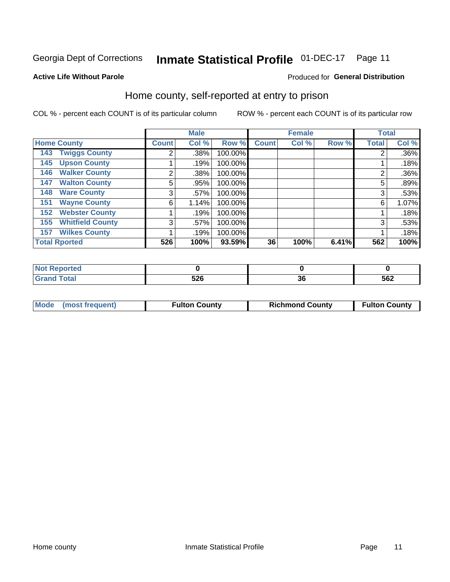#### Inmate Statistical Profile 01-DEC-17 Page 11

# **Active Life Without Parole**

### **Produced for General Distribution**

# Home county, self-reported at entry to prison

COL % - percent each COUNT is of its particular column

|                                |  | <b>Male</b>  |       | <b>Female</b> |              |       | <b>Total</b> |              |       |
|--------------------------------|--|--------------|-------|---------------|--------------|-------|--------------|--------------|-------|
| <b>Home County</b>             |  | <b>Count</b> | Col % | Row %         | <b>Count</b> | Col % | Row %        | <b>Total</b> | Col % |
| <b>Twiggs County</b><br>143    |  | 2            | .38%  | 100.00%       |              |       |              | ◠            | .36%  |
| <b>Upson County</b><br>145     |  |              | .19%  | 100.00%       |              |       |              |              | .18%  |
| <b>Walker County</b><br>146    |  | 2            | .38%  | 100.00%       |              |       |              | 2            | .36%  |
| <b>Walton County</b><br>147    |  | 5            | .95%  | 100.00%       |              |       |              | 5            | .89%  |
| <b>Ware County</b><br>148      |  | 3            | .57%  | 100.00%       |              |       |              | 3            | .53%  |
| <b>Wayne County</b><br>151     |  | 6            | 1.14% | 100.00%       |              |       |              | 6            | 1.07% |
| <b>Webster County</b><br>152   |  |              | .19%  | 100.00%       |              |       |              |              | .18%  |
| <b>Whitfield County</b><br>155 |  | 3            | .57%  | 100.00%       |              |       |              | 3            | .53%  |
| <b>Wilkes County</b><br>157    |  |              | .19%  | 100.00%       |              |       |              |              | .18%  |
| <b>Total Rported</b>           |  | 526          | 100%  | 93.59%        | 36           | 100%  | 6.41%        | 562          | 100%  |

| <b>Reported</b><br>' NOI |     |    |     |
|--------------------------|-----|----|-----|
| <b>Total</b>             | 526 | ათ | 562 |

| Mode (most frequent) | <b>Fulton County</b> | <b>Richmond County</b> | <b>Fulton County</b> |
|----------------------|----------------------|------------------------|----------------------|
|                      |                      |                        |                      |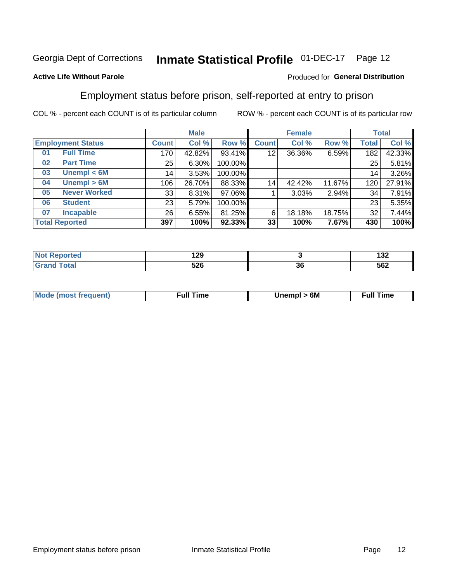#### **Inmate Statistical Profile 01-DEC-17** Page 12

## **Active Life Without Parole**

### Produced for General Distribution

# Employment status before prison, self-reported at entry to prison

COL % - percent each COUNT is of its particular column

|                          |                       |                 | <b>Male</b> |         |              | <b>Female</b> |        |       | <b>Total</b> |
|--------------------------|-----------------------|-----------------|-------------|---------|--------------|---------------|--------|-------|--------------|
| <b>Employment Status</b> |                       | Count l         | Col %       | Row %   | <b>Count</b> | Col %         | Row %  | Total | Col %        |
| 01                       | <b>Full Time</b>      | 170             | 42.82%      | 93.41%  | 12           | 36.36%        | 6.59%  | 182   | 42.33%       |
| 02                       | <b>Part Time</b>      | 25              | $6.30\%$    | 100.00% |              |               |        | 25    | 5.81%        |
| 03                       | Unempl $<$ 6M         | 14              | 3.53%       | 100.00% |              |               |        | 14    | 3.26%        |
| 04                       | Unempl > 6M           | 106             | 26.70%      | 88.33%  | 14           | 42.42%        | 11.67% | 120   | 27.91%       |
| 05                       | <b>Never Worked</b>   | 33              | $8.31\%$    | 97.06%  |              | 3.03%         | 2.94%  | 34    | 7.91%        |
| 06                       | <b>Student</b>        | 23 <sub>1</sub> | 5.79%       | 100.00% |              |               |        | 23    | 5.35%        |
| 07                       | <b>Incapable</b>      | 26              | 6.55%       | 81.25%  | 6            | 18.18%        | 18.75% | 32    | 7.44%        |
|                          | <b>Total Reported</b> | 397             | 100%        | 92.33%  | 33           | 100%          | 7.67%  | 430   | 100%         |

| u mata | ה ה<br>14J |    | ,,,<br>1JZ |
|--------|------------|----|------------|
|        | cnc<br>ว∠บ | 36 | 562        |

| <b>Mode (most frequent)</b> | 6M<br>Unempl | ∴ull∶<br>⊺ime |
|-----------------------------|--------------|---------------|
|                             |              |               |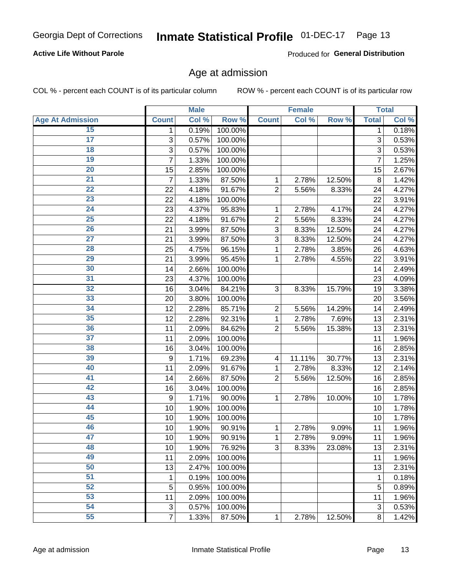## **Active Life Without Parole**

Produced for General Distribution

# Age at admission

COL % - percent each COUNT is of its particular column

|                         |                | <b>Male</b> |         |                | <b>Female</b> |        |              | <b>Total</b> |
|-------------------------|----------------|-------------|---------|----------------|---------------|--------|--------------|--------------|
| <b>Age At Admission</b> | <b>Count</b>   | Col %       | Row %   | <b>Count</b>   | Col %         | Row %  | <b>Total</b> | Col %        |
| 15                      | 1              | 0.19%       | 100.00% |                |               |        | 1            | 0.18%        |
| $\overline{17}$         | 3              | 0.57%       | 100.00% |                |               |        | 3            | 0.53%        |
| 18                      | 3              | 0.57%       | 100.00% |                |               |        | 3            | 0.53%        |
| 19                      | 7              | 1.33%       | 100.00% |                |               |        | 7            | 1.25%        |
| 20                      | 15             | 2.85%       | 100.00% |                |               |        | 15           | 2.67%        |
| $\overline{21}$         | 7              | 1.33%       | 87.50%  | 1              | 2.78%         | 12.50% | 8            | 1.42%        |
| 22                      | 22             | 4.18%       | 91.67%  | $\overline{2}$ | 5.56%         | 8.33%  | 24           | 4.27%        |
| 23                      | 22             | 4.18%       | 100.00% |                |               |        | 22           | 3.91%        |
| $\overline{24}$         | 23             | 4.37%       | 95.83%  | 1              | 2.78%         | 4.17%  | 24           | 4.27%        |
| $\overline{25}$         | 22             | 4.18%       | 91.67%  | $\overline{2}$ | 5.56%         | 8.33%  | 24           | 4.27%        |
| 26                      | 21             | 3.99%       | 87.50%  | 3              | 8.33%         | 12.50% | 24           | 4.27%        |
| $\overline{27}$         | 21             | 3.99%       | 87.50%  | 3              | 8.33%         | 12.50% | 24           | 4.27%        |
| 28                      | 25             | 4.75%       | 96.15%  | 1              | 2.78%         | 3.85%  | 26           | 4.63%        |
| 29                      | 21             | 3.99%       | 95.45%  | 1              | 2.78%         | 4.55%  | 22           | 3.91%        |
| 30                      | 14             | 2.66%       | 100.00% |                |               |        | 14           | 2.49%        |
| 31                      | 23             | 4.37%       | 100.00% |                |               |        | 23           | 4.09%        |
| 32                      | 16             | 3.04%       | 84.21%  | 3              | 8.33%         | 15.79% | 19           | 3.38%        |
| 33                      | 20             | 3.80%       | 100.00% |                |               |        | 20           | 3.56%        |
| 34                      | 12             | 2.28%       | 85.71%  | $\overline{c}$ | 5.56%         | 14.29% | 14           | 2.49%        |
| 35                      | 12             | 2.28%       | 92.31%  | 1              | 2.78%         | 7.69%  | 13           | 2.31%        |
| 36                      | 11             | 2.09%       | 84.62%  | $\overline{2}$ | 5.56%         | 15.38% | 13           | 2.31%        |
| 37                      | 11             | 2.09%       | 100.00% |                |               |        | 11           | 1.96%        |
| 38                      | 16             | 3.04%       | 100.00% |                |               |        | 16           | 2.85%        |
| 39                      | 9              | 1.71%       | 69.23%  | 4              | 11.11%        | 30.77% | 13           | 2.31%        |
| 40                      | 11             | 2.09%       | 91.67%  | 1              | 2.78%         | 8.33%  | 12           | 2.14%        |
| 41                      | 14             | 2.66%       | 87.50%  | $\overline{2}$ | 5.56%         | 12.50% | 16           | 2.85%        |
| 42                      | 16             | 3.04%       | 100.00% |                |               |        | 16           | 2.85%        |
| 43                      | 9              | 1.71%       | 90.00%  | 1              | 2.78%         | 10.00% | 10           | 1.78%        |
| 44                      | 10             | 1.90%       | 100.00% |                |               |        | 10           | 1.78%        |
| 45                      | 10             | 1.90%       | 100.00% |                |               |        | 10           | 1.78%        |
| 46                      | 10             | 1.90%       | 90.91%  | 1              | 2.78%         | 9.09%  | 11           | 1.96%        |
| 47                      | 10             | 1.90%       | 90.91%  | 1              | 2.78%         | 9.09%  | 11           | 1.96%        |
| 48                      | 10             | 1.90%       | 76.92%  | $\overline{3}$ | 8.33%         | 23.08% | 13           | 2.31%        |
| 49                      | 11             | 2.09%       | 100.00% |                |               |        | 11           | 1.96%        |
| 50                      | 13             | 2.47%       | 100.00% |                |               |        | 13           | 2.31%        |
| 51                      | 1              | 0.19%       | 100.00% |                |               |        | 1            | 0.18%        |
| 52                      | 5              | 0.95%       | 100.00% |                |               |        | 5            | 0.89%        |
| 53                      | 11             | 2.09%       | 100.00% |                |               |        | 11           | 1.96%        |
| 54                      | 3              | 0.57%       | 100.00% |                |               |        | 3            | 0.53%        |
| 55                      | $\overline{7}$ | 1.33%       | 87.50%  | 1              | 2.78%         | 12.50% | 8            | 1.42%        |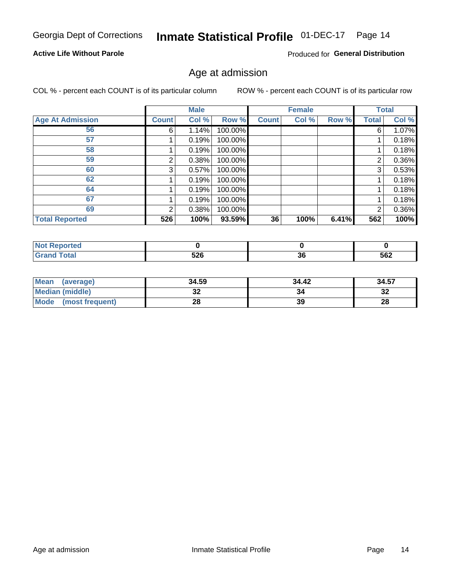# Inmate Statistical Profile 01-DEC-17 Page 14

## **Active Life Without Parole**

Produced for General Distribution

# Age at admission

COL % - percent each COUNT is of its particular column

|                         |              | <b>Male</b> |         |              | <b>Female</b> |       |                | <b>Total</b> |
|-------------------------|--------------|-------------|---------|--------------|---------------|-------|----------------|--------------|
| <b>Age At Admission</b> | <b>Count</b> | Col %       | Row %   | <b>Count</b> | Col %         | Row % | Total          | Col %        |
| 56                      | 6            | 1.14%       | 100.00% |              |               |       | 6              | 1.07%        |
| 57                      |              | 0.19%       | 100.00% |              |               |       |                | 0.18%        |
| 58                      |              | 0.19%       | 100.00% |              |               |       |                | 0.18%        |
| 59                      | 2            | 0.38%       | 100.00% |              |               |       | 2              | 0.36%        |
| 60                      | 3            | 0.57%       | 100.00% |              |               |       | 3              | 0.53%        |
| 62                      |              | 0.19%       | 100.00% |              |               |       |                | 0.18%        |
| 64                      |              | 0.19%       | 100.00% |              |               |       |                | 0.18%        |
| 67                      |              | 0.19%       | 100.00% |              |               |       |                | 0.18%        |
| 69                      | 2            | 0.38%       | 100.00% |              |               |       | $\overline{2}$ | 0.36%        |
| <b>Total Reported</b>   | 526          | 100%        | 93.59%  | 36           | 100%          | 6.41% | 562            | 100%         |

| <b>Not Reported</b> |     |          |     |
|---------------------|-----|----------|-----|
| <b>Total</b>        | 526 | 96<br>ათ | 562 |

| Mean (average)       | 34.59 | 34.42 | 34.57   |
|----------------------|-------|-------|---------|
| Median (middle)      | JZ    |       | …<br>∡ت |
| Mode (most frequent) | 28    | 39    | 28      |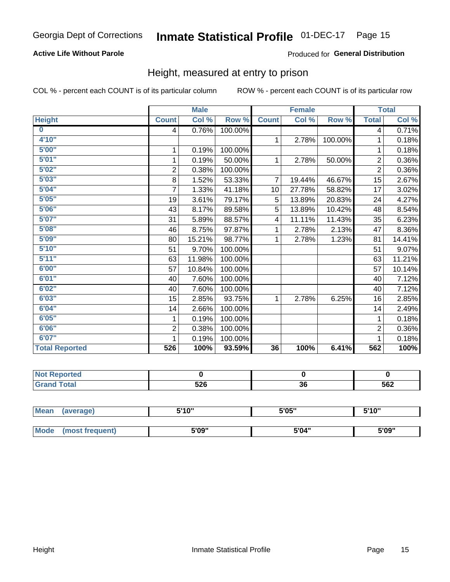## **Active Life Without Parole**

### Produced for General Distribution

# Height, measured at entry to prison

COL % - percent each COUNT is of its particular column

|                         |                | <b>Male</b> |         |                 | <b>Female</b> |         |                | <b>Total</b> |
|-------------------------|----------------|-------------|---------|-----------------|---------------|---------|----------------|--------------|
| <b>Height</b>           | <b>Count</b>   | Col %       | Row %   | <b>Count</b>    | Col %         | Row %   | <b>Total</b>   | Col %        |
| $\overline{\mathbf{0}}$ | 4              | 0.76%       | 100.00% |                 |               |         | 4              | 0.71%        |
| 4'10"                   |                |             |         | $\mathbf 1$     | 2.78%         | 100.00% | 1              | 0.18%        |
| 5'00''                  | 1              | 0.19%       | 100.00% |                 |               |         | 1              | 0.18%        |
| 5'01"                   | $\mathbf 1$    | 0.19%       | 50.00%  | $\mathbf 1$     | 2.78%         | 50.00%  | $\overline{2}$ | 0.36%        |
| 5'02"                   | $\overline{2}$ | 0.38%       | 100.00% |                 |               |         | $\overline{2}$ | 0.36%        |
| 5'03''                  | 8              | 1.52%       | 53.33%  | $\overline{7}$  | 19.44%        | 46.67%  | 15             | 2.67%        |
| 5'04"                   | 7              | 1.33%       | 41.18%  | 10 <sup>1</sup> | 27.78%        | 58.82%  | 17             | 3.02%        |
| 5'05"                   | 19             | 3.61%       | 79.17%  | 5               | 13.89%        | 20.83%  | 24             | 4.27%        |
| 5'06''                  | 43             | 8.17%       | 89.58%  | 5               | 13.89%        | 10.42%  | 48             | 8.54%        |
| 5'07"                   | 31             | 5.89%       | 88.57%  | 4               | 11.11%        | 11.43%  | 35             | 6.23%        |
| 5'08''                  | 46             | 8.75%       | 97.87%  | 1               | 2.78%         | 2.13%   | 47             | 8.36%        |
| 5'09"                   | 80             | 15.21%      | 98.77%  | $\mathbf 1$     | 2.78%         | 1.23%   | 81             | 14.41%       |
| 5'10''                  | 51             | 9.70%       | 100.00% |                 |               |         | 51             | 9.07%        |
| 5'11"                   | 63             | 11.98%      | 100.00% |                 |               |         | 63             | 11.21%       |
| 6'00''                  | 57             | 10.84%      | 100.00% |                 |               |         | 57             | 10.14%       |
| 6'01''                  | 40             | 7.60%       | 100.00% |                 |               |         | 40             | 7.12%        |
| 6'02"                   | 40             | 7.60%       | 100.00% |                 |               |         | 40             | 7.12%        |
| 6'03''                  | 15             | 2.85%       | 93.75%  | $\mathbf{1}$    | 2.78%         | 6.25%   | 16             | 2.85%        |
| 6'04"                   | 14             | 2.66%       | 100.00% |                 |               |         | 14             | 2.49%        |
| 6'05"                   | 1              | 0.19%       | 100.00% |                 |               |         | 1              | 0.18%        |
| 6'06''                  | $\overline{2}$ | 0.38%       | 100.00% |                 |               |         | $\overline{2}$ | 0.36%        |
| 6'07''                  |                | 0.19%       | 100.00% |                 |               |         |                | 0.18%        |
| <b>Total Reported</b>   | 526            | 100%        | 93.59%  | 36              | 100%          | 6.41%   | 562            | 100%         |

| 'N<br>ντιεο τ<br>. <b>.</b> |                   |    |              |
|-----------------------------|-------------------|----|--------------|
| _____                       | <b>EOC</b><br>ວ∠ບ | 36 | $-0n$<br>562 |

| <b>Mean</b> | (average)       | 5'10" | 5'05" | 5'10"<br>J |
|-------------|-----------------|-------|-------|------------|
|             |                 |       |       |            |
| <b>Mode</b> | (most frequent) | 5'09" | 5'04" | 5'09"      |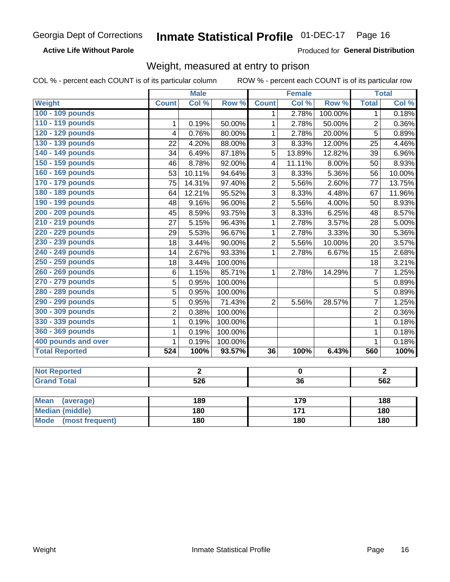#### Inmate Statistical Profile 01-DEC-17 Page 16

**Active Life Without Parole** 

Produced for General Distribution

# Weight, measured at entry to prison

COL % - percent each COUNT is of its particular column

|                                |                  | <b>Male</b>      |         |                         | <b>Female</b>    |         |                | <b>Total</b>   |
|--------------------------------|------------------|------------------|---------|-------------------------|------------------|---------|----------------|----------------|
| Weight                         | <b>Count</b>     | Col %            | Row %   | <b>Count</b>            | Col %            | Row %   | <b>Total</b>   | Col %          |
| 100 - 109 pounds               |                  |                  |         | 1                       | 2.78%            | 100.00% | $\mathbf 1$    | 0.18%          |
| 110 - 119 pounds               | 1                | 0.19%            | 50.00%  | 1                       | 2.78%            | 50.00%  | $\overline{2}$ | 0.36%          |
| 120 - 129 pounds               | $\overline{4}$   | 0.76%            | 80.00%  | $\mathbf{1}$            | 2.78%            | 20.00%  | 5              | 0.89%          |
| 130 - 139 pounds               | 22               | 4.20%            | 88.00%  | 3                       | 8.33%            | 12.00%  | 25             | 4.46%          |
| 140 - 149 pounds               | 34               | 6.49%            | 87.18%  | 5                       | 13.89%           | 12.82%  | 39             | 6.96%          |
| 150 - 159 pounds               | 46               | 8.78%            | 92.00%  | $\overline{\mathbf{4}}$ | 11.11%           | 8.00%   | 50             | 8.93%          |
| 160 - 169 pounds               | 53               | 10.11%           | 94.64%  | $\overline{3}$          | 8.33%            | 5.36%   | 56             | 10.00%         |
| 170 - 179 pounds               | 75               | 14.31%           | 97.40%  | $\overline{2}$          | 5.56%            | 2.60%   | 77             | 13.75%         |
| 180 - 189 pounds               | 64               | 12.21%           | 95.52%  | $\overline{3}$          | 8.33%            | 4.48%   | 67             | 11.96%         |
| 190 - 199 pounds               | 48               | 9.16%            | 96.00%  | $\overline{2}$          | 5.56%            | 4.00%   | 50             | 8.93%          |
| 200 - 209 pounds               | 45               | 8.59%            | 93.75%  | 3                       | 8.33%            | 6.25%   | 48             | 8.57%          |
| 210 - 219 pounds               | 27               | 5.15%            | 96.43%  | $\mathbf{1}$            | 2.78%            | 3.57%   | 28             | 5.00%          |
| 220 - 229 pounds               | 29               | 5.53%            | 96.67%  | 1                       | 2.78%            | 3.33%   | 30             | 5.36%          |
| 230 - 239 pounds               | 18               | 3.44%            | 90.00%  | $\overline{2}$          | 5.56%            | 10.00%  | 20             | 3.57%          |
| 240 - 249 pounds               | 14               | 2.67%            | 93.33%  | $\mathbf{1}$            | 2.78%            | 6.67%   | 15             | 2.68%          |
| 250 - 259 pounds               | 18               | 3.44%            | 100.00% |                         |                  |         | 18             | 3.21%          |
| 260 - 269 pounds               | $6\phantom{1}$   | 1.15%            | 85.71%  | $\mathbf{1}$            | 2.78%            | 14.29%  | $\overline{7}$ | 1.25%          |
| 270 - 279 pounds               | $\overline{5}$   | 0.95%            | 100.00% |                         |                  |         | $\overline{5}$ | 0.89%          |
| 280 - 289 pounds               | $\overline{5}$   | 0.95%            | 100.00% |                         |                  |         | $\overline{5}$ | 0.89%          |
| 290 - 299 pounds               | $\overline{5}$   | 0.95%            | 71.43%  | $\overline{2}$          | 5.56%            | 28.57%  | $\overline{7}$ | 1.25%          |
| 300 - 309 pounds               | $\overline{2}$   | 0.38%            | 100.00% |                         |                  |         | $\overline{2}$ | 0.36%          |
| 330 - 339 pounds               | $\mathbf{1}$     | 0.19%            | 100.00% |                         |                  |         | $\mathbf{1}$   | 0.18%          |
| 360 - 369 pounds               | $\mathbf 1$      | 0.19%            | 100.00% |                         |                  |         | 1              | 0.18%          |
| 400 pounds and over            | $\mathbf{1}$     | 0.19%            | 100.00% |                         |                  |         | $\mathbf{1}$   | 0.18%          |
| <b>Total Reported</b>          | $\overline{524}$ | 100%             | 93.57%  | 36                      | 100%             | 6.43%   | 560            | 100%           |
|                                |                  |                  |         |                         |                  |         |                |                |
| <b>Not Reported</b>            |                  | $\overline{2}$   |         |                         | $\mathbf 0$      |         |                | $\overline{2}$ |
| <b>Grand Total</b>             |                  | $\overline{526}$ |         |                         | 36               |         |                | 562            |
| <b>Mean</b>                    |                  | 189              |         |                         | 179              |         |                | 188            |
| (average)                      |                  | 180              |         |                         | $\overline{171}$ |         |                | 180            |
| <b>Median (middle)</b>         |                  |                  |         |                         |                  |         |                |                |
| <b>Mode</b><br>(most frequent) |                  | 180              |         |                         | 180              |         |                | <b>180</b>     |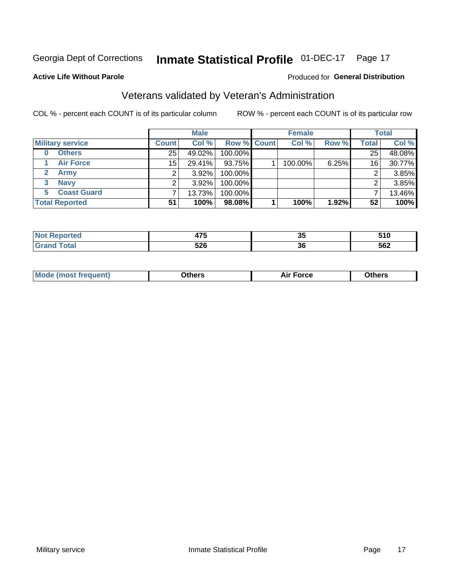#### **Inmate Statistical Profile 01-DEC-17** Page 17

### **Active Life Without Parole**

### Produced for General Distribution

# Veterans validated by Veteran's Administration

COL % - percent each COUNT is of its particular column

|                          |              | <b>Male</b> |                    | <b>Female</b> |       |              | <b>Total</b> |
|--------------------------|--------------|-------------|--------------------|---------------|-------|--------------|--------------|
| <b>Military service</b>  | <b>Count</b> | Col %       | <b>Row % Count</b> | Col %         | Row % | <b>Total</b> | Col %        |
| <b>Others</b><br>0       | 25           | 49.02%      | 100.00%            |               |       | 25           | 48.08%       |
| <b>Air Force</b>         | 15           | 29.41%      | 93.75%             | 100.00%       | 6.25% | 16           | 30.77%       |
| <b>Army</b>              |              | $3.92\%$    | 100.00%            |               |       | 2            | 3.85%        |
| <b>Navy</b><br>3         |              | $3.92\%$    | 100.00%            |               |       | ົ            | 3.85%        |
| <b>Coast Guard</b><br>5. |              | 13.73%      | 100.00%            |               |       |              | 13.46%       |
| <b>Total Reported</b>    | 51           | 100%        | 98.08%             | 100%          | 1.92% | 52           | 100%         |

| тес. | $\sim$             | ^'       | E4 O         |
|------|--------------------|----------|--------------|
|      | 71 J               | vv       | JIV          |
|      | につに<br>JŁU<br>$ -$ | ^^<br>90 | 562<br>$  -$ |

| <b>Moo.</b> |
|-------------|
|-------------|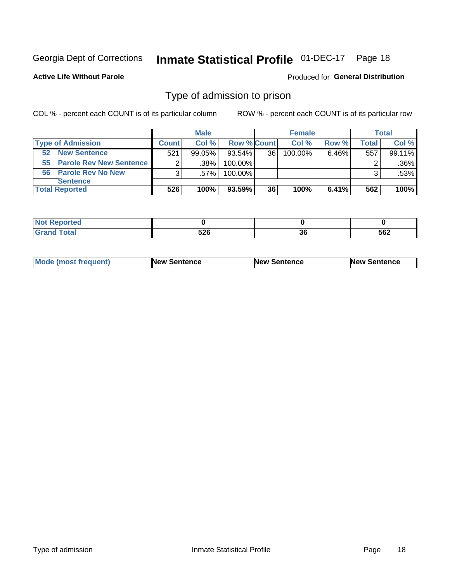#### **Inmate Statistical Profile 01-DEC-17** Page 18

### **Active Life Without Parole**

### Produced for General Distribution

# Type of admission to prison

COL % - percent each COUNT is of its particular column

|                            |              | <b>Male</b> |             |    | <b>Female</b> |          |       | Total   |
|----------------------------|--------------|-------------|-------------|----|---------------|----------|-------|---------|
| <b>Type of Admission</b>   | <b>Count</b> | Col %       | Row % Count |    | Col %         | Row %    | Total | Col %   |
| <b>New Sentence</b><br>52  | 521          | $99.05\%$   | 93.54%      | 36 | 100.00%       | $6.46\%$ | 557   | 99.11%  |
| 55 Parole Rev New Sentence | 2            | $.38\%$     | 100.00%     |    |               |          |       | $.36\%$ |
| 56 Parole Rev No New       | 3            | .57%        | 100.00%     |    |               |          | 3     | .53%    |
| <b>Sentence</b>            |              |             |             |    |               |          |       |         |
| <b>Total Reported</b>      | 526          | 100%        | 93.59%      | 36 | 100%          | $6.41\%$ | 562   | 100%    |

| <b>rted</b><br>N   |                     |               |     |
|--------------------|---------------------|---------------|-----|
| $\sim$ 40<br>_____ | - 20<br>JZU<br>$ -$ | $\sim$<br>.JU | 562 |

| <b>Mode (most frequent)</b> | <b>New Sentence</b> | New Sentence | <b>New Sentence</b> |
|-----------------------------|---------------------|--------------|---------------------|
|                             |                     |              |                     |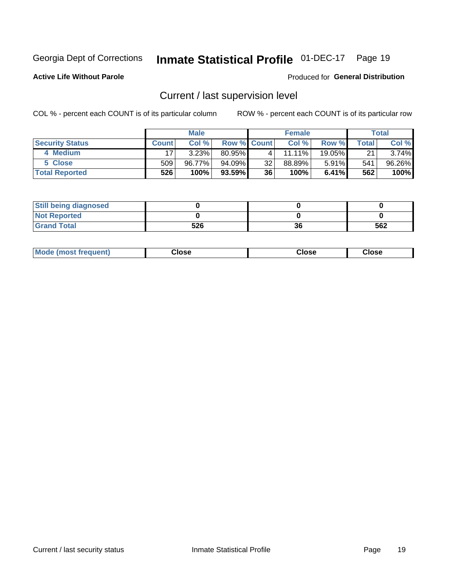# Inmate Statistical Profile 01-DEC-17 Page 19

**Active Life Without Parole** 

### Produced for General Distribution

# Current / last supervision level

COL % - percent each COUNT is of its particular column

|                        |              | <b>Male</b> |                    |    | <b>Female</b> |          |       | <b>Total</b> |
|------------------------|--------------|-------------|--------------------|----|---------------|----------|-------|--------------|
| <b>Security Status</b> | <b>Count</b> | Col%        | <b>Row % Count</b> |    | Col %         | Row %    | Total | Col %        |
| 4 Medium               |              | 3.23%       | 80.95%             | 4  | 11.11%        | 19.05%   | 21    | 3.74%        |
| 5 Close                | 509          | 96.77%      | 94.09%             | 32 | 88.89%        | 5.91%    | 541   | 96.26%       |
| <b>Total Reported</b>  | 526'         | 100%        | $93.59\%$          | 36 | 100%          | $6.41\%$ | 562   | 100%         |

| <b>Still being diagnosed</b> |     |    |     |
|------------------------------|-----|----|-----|
| <b>Not Reported</b>          |     |    |     |
| <b>Grand Total</b>           | 526 | 36 | 562 |

| <b>AhoM</b><br>rreauent) | <b>Close</b> | Close | Close |
|--------------------------|--------------|-------|-------|
|                          |              |       |       |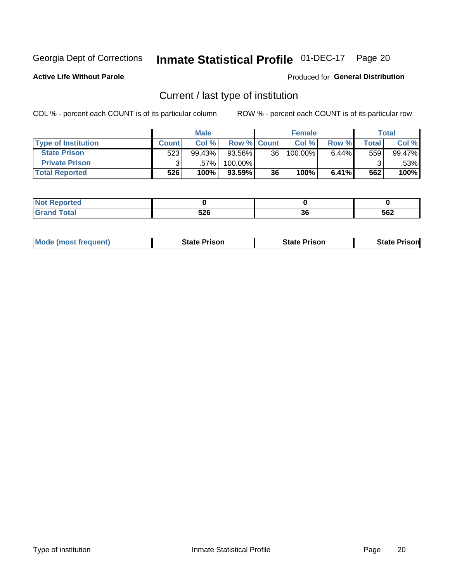# Inmate Statistical Profile 01-DEC-17 Page 20

**Active Life Without Parole** 

Produced for General Distribution

# Current / last type of institution

COL % - percent each COUNT is of its particular column

|                            |       | <b>Male</b> |                    |                 | <b>Female</b> |       |                          | <b>Total</b> |
|----------------------------|-------|-------------|--------------------|-----------------|---------------|-------|--------------------------|--------------|
| <b>Type of Institution</b> | Count | Col %       | <b>Row % Count</b> |                 | Col %         | Row % | $\mathsf{Total}_{\perp}$ | Col %        |
| <b>State Prison</b>        | 523   | 99.43%      | 93.56%             | 36 <sup>1</sup> | 100.00%       | 6.44% | 559                      | 99.47%       |
| <b>Private Prison</b>      |       | .57%        | 100.00%            |                 |               |       |                          | .53%         |
| <b>Total Reported</b>      | 526   | 100%        | $93.59\%$          | 36              | 100%          | 6.41% | 562                      | 100%         |

| rea |            |          |     |
|-----|------------|----------|-----|
|     | よつぐ<br>υ∠υ | ^^<br>ად | 562 |

|  | <b>Mode (most frequent)</b> | State Prison | <b>State Prison</b> | risonl<br>State |
|--|-----------------------------|--------------|---------------------|-----------------|
|--|-----------------------------|--------------|---------------------|-----------------|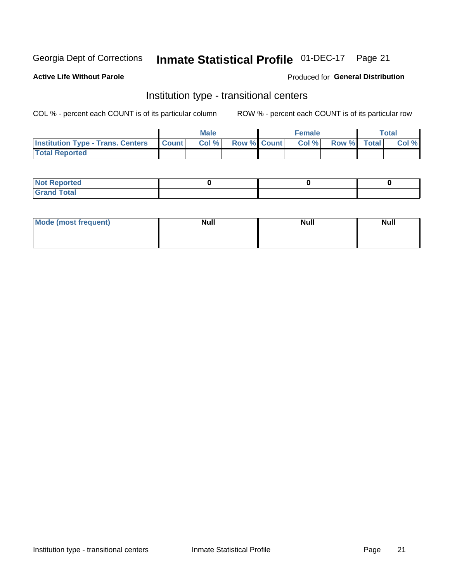# Inmate Statistical Profile 01-DEC-17 Page 21

## **Active Life Without Parole**

## **Produced for General Distribution**

# Institution type - transitional centers

COL % - percent each COUNT is of its particular column

|                                          |              | <b>Male</b> |             | <b>Female</b> |             | <b>Total</b> |
|------------------------------------------|--------------|-------------|-------------|---------------|-------------|--------------|
| <b>Institution Type - Trans. Centers</b> | <b>Count</b> | Col %       | Row % Count | Col %         | Row % Total | Col %        |
| <b>Total Reported</b>                    |              |             |             |               |             |              |

| <b>Reported</b><br><b>NOT</b><br>$\sim$            |  |  |
|----------------------------------------------------|--|--|
| $f$ $f \circ f \circ f$<br>$C = 1$<br><b>TULAI</b> |  |  |

| Mode (most frequent) | <b>Null</b> | <b>Null</b> | <b>Null</b> |
|----------------------|-------------|-------------|-------------|
|                      |             |             |             |
|                      |             |             |             |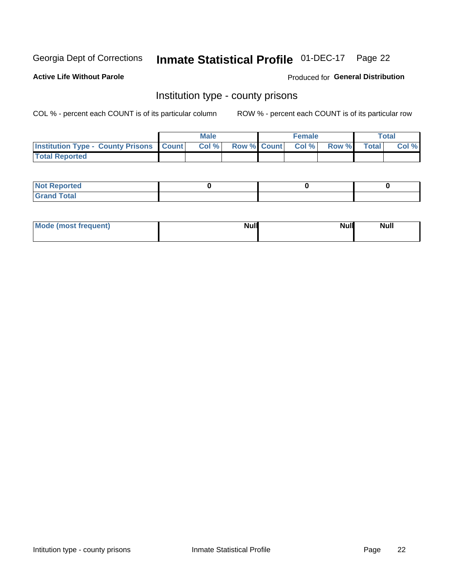# Inmate Statistical Profile 01-DEC-17 Page 22

**Active Life Without Parole** 

**Produced for General Distribution** 

# Institution type - county prisons

COL % - percent each COUNT is of its particular column

|                                                    | <b>Male</b> |  | <b>Female</b>            |             | <b>Total</b> |
|----------------------------------------------------|-------------|--|--------------------------|-------------|--------------|
| <b>Institution Type - County Prisons   Count  </b> | Col %       |  | <b>Row % Count Col %</b> | Row % Total | Col %        |
| <b>Total Reported</b>                              |             |  |                          |             |              |

| <b>Not</b><br>: Reported<br>$\cdots$ |  |  |
|--------------------------------------|--|--|
| <b>Total</b><br>---                  |  |  |

| Mode (most frequent) | <b>Null</b> | <b>Null</b><br><b>Null</b> |
|----------------------|-------------|----------------------------|
|                      |             |                            |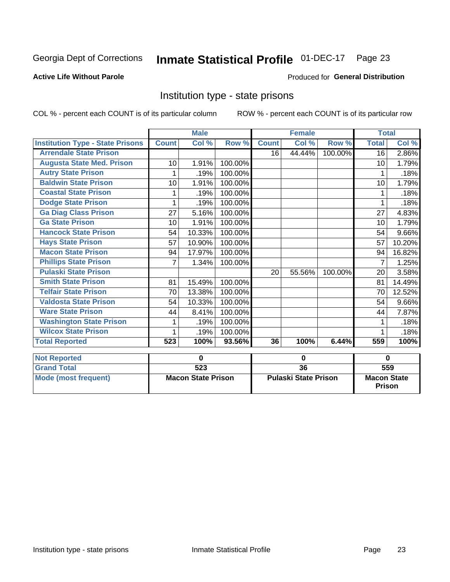#### Inmate Statistical Profile 01-DEC-17 Page 23

### **Active Life Without Parole**

### Produced for General Distribution

# Institution type - state prisons

COL % - percent each COUNT is of its particular column

|                                         |              | <b>Male</b>               |         |              | <b>Female</b>               |         | <b>Total</b>       |        |
|-----------------------------------------|--------------|---------------------------|---------|--------------|-----------------------------|---------|--------------------|--------|
| <b>Institution Type - State Prisons</b> | <b>Count</b> | $\overline{\text{Col}}$ % | Row %   | <b>Count</b> | $\overline{\text{Col}}$ %   | Row %   | <b>Total</b>       | Col %  |
| <b>Arrendale State Prison</b>           |              |                           |         | 16           | 44.44%                      | 100.00% | 16                 | 2.86%  |
| <b>Augusta State Med. Prison</b>        | 10           | 1.91%                     | 100.00% |              |                             |         | 10                 | 1.79%  |
| <b>Autry State Prison</b>               | 1            | .19%                      | 100.00% |              |                             |         | 1                  | .18%   |
| <b>Baldwin State Prison</b>             | 10           | 1.91%                     | 100.00% |              |                             |         | 10                 | 1.79%  |
| <b>Coastal State Prison</b>             |              | .19%                      | 100.00% |              |                             |         |                    | .18%   |
| <b>Dodge State Prison</b>               |              | .19%                      | 100.00% |              |                             |         |                    | .18%   |
| <b>Ga Diag Class Prison</b>             | 27           | 5.16%                     | 100.00% |              |                             |         | 27                 | 4.83%  |
| <b>Ga State Prison</b>                  | 10           | 1.91%                     | 100.00% |              |                             |         | 10                 | 1.79%  |
| <b>Hancock State Prison</b>             | 54           | 10.33%                    | 100.00% |              |                             |         | 54                 | 9.66%  |
| <b>Hays State Prison</b>                | 57           | 10.90%                    | 100.00% |              |                             |         | 57                 | 10.20% |
| <b>Macon State Prison</b>               | 94           | 17.97%                    | 100.00% |              |                             |         | 94                 | 16.82% |
| <b>Phillips State Prison</b>            | 7            | 1.34%                     | 100.00% |              |                             |         | 7                  | 1.25%  |
| <b>Pulaski State Prison</b>             |              |                           |         | 20           | 55.56%                      | 100.00% | 20                 | 3.58%  |
| <b>Smith State Prison</b>               | 81           | 15.49%                    | 100.00% |              |                             |         | 81                 | 14.49% |
| <b>Telfair State Prison</b>             | 70           | 13.38%                    | 100.00% |              |                             |         | 70                 | 12.52% |
| <b>Valdosta State Prison</b>            | 54           | 10.33%                    | 100.00% |              |                             |         | 54                 | 9.66%  |
| <b>Ware State Prison</b>                | 44           | 8.41%                     | 100.00% |              |                             |         | 44                 | 7.87%  |
| <b>Washington State Prison</b>          |              | .19%                      | 100.00% |              |                             |         |                    | .18%   |
| <b>Wilcox State Prison</b>              | 1            | .19%                      | 100.00% |              |                             |         |                    | .18%   |
| <b>Total Reported</b>                   | 523          | 100%                      | 93.56%  | 36           | 100%                        | 6.44%   | 559                | 100%   |
| <b>Not Reported</b>                     |              | 0                         |         |              | 0                           |         | $\bf{0}$           |        |
| <b>Grand Total</b>                      |              | $\overline{523}$          |         |              | $\overline{36}$             |         |                    | 559    |
| <b>Mode (most frequent)</b>             |              | <b>Macon State Prison</b> |         |              | <b>Pulaski State Prison</b> |         | <b>Macon State</b> |        |
|                                         |              |                           |         |              |                             |         | <b>Prison</b>      |        |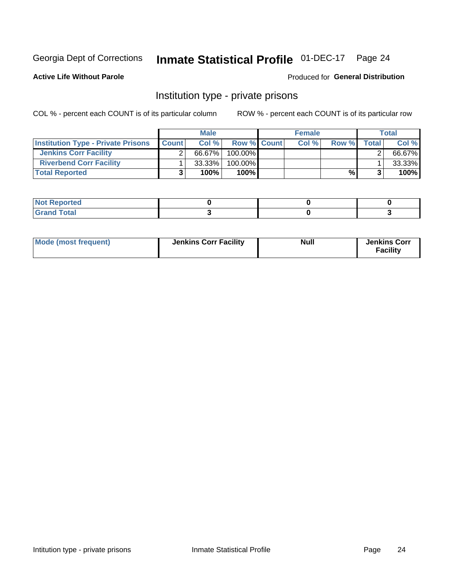# Inmate Statistical Profile 01-DEC-17 Page 24

### **Active Life Without Parole**

## Produced for General Distribution

# Institution type - private prisons

COL % - percent each COUNT is of its particular column

|                                           |              | <b>Male</b> |                    | <b>Female</b> |       |              | <b>Total</b> |
|-------------------------------------------|--------------|-------------|--------------------|---------------|-------|--------------|--------------|
| <b>Institution Type - Private Prisons</b> | <b>Count</b> | Col%        | <b>Row % Count</b> | Col%          | Row % | <b>Total</b> | Col%         |
| <b>Jenkins Corr Facility</b>              |              | 66.67%      | $100.00\%$         |               |       |              | 66.67%       |
| <b>Riverbend Corr Facility</b>            |              | $33.33\%$   | 100.00%            |               |       |              | 33.33%       |
| <b>Total Reported</b>                     |              | 100%        | $100\%$            |               | %\    |              | 100%         |

| teol                             |  |  |
|----------------------------------|--|--|
| $\sim$ $\sim$ $\sim$ $\sim$<br>_ |  |  |

| Mode (most frequent) | <b>Jenkins Corr Facility</b> | <b>Null</b> | <b>Jenkins Corr</b><br><b>Facility</b> |
|----------------------|------------------------------|-------------|----------------------------------------|
|----------------------|------------------------------|-------------|----------------------------------------|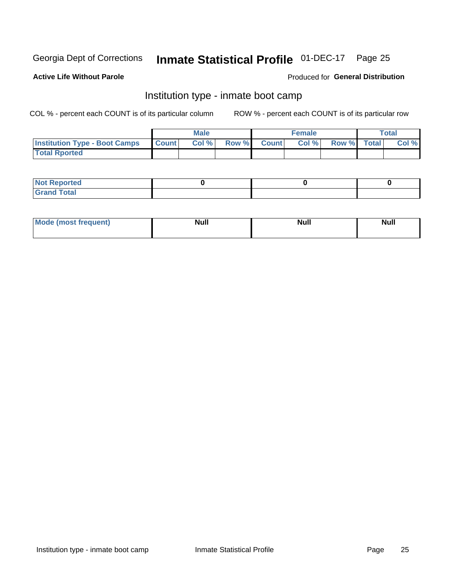# Inmate Statistical Profile 01-DEC-17 Page 25

### **Active Life Without Parole**

## **Produced for General Distribution**

# Institution type - inmate boot camp

COL % - percent each COUNT is of its particular column

|                                      |              | <b>Male</b> |               |              | <b>Female</b> |             | <b>Total</b> |
|--------------------------------------|--------------|-------------|---------------|--------------|---------------|-------------|--------------|
| <b>Institution Type - Boot Camps</b> | <b>Count</b> | Col %       | <b>Row %I</b> | <b>Count</b> | Col %         | Row % Total | Col %        |
| <b>Total Rported</b>                 |              |             |               |              |               |             |              |

| <b>Not Reported</b>            |  |  |
|--------------------------------|--|--|
| <b>Total</b><br>C <sub>r</sub> |  |  |

| Mod<br>uamo | Nul.<br>$- - - - - -$ | <b>Null</b> | <br>uu.<br>------ |
|-------------|-----------------------|-------------|-------------------|
|             |                       |             |                   |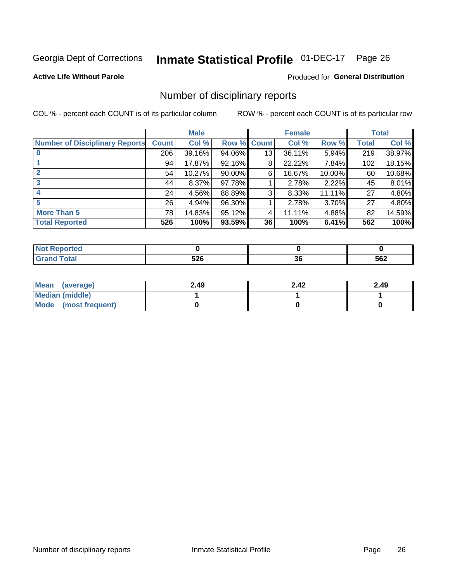# Inmate Statistical Profile 01-DEC-17 Page 26

**Active Life Without Parole** 

### **Produced for General Distribution**

# Number of disciplinary reports

COL % - percent each COUNT is of its particular column

|                                       |              | <b>Male</b> |           |              | <b>Female</b> |        |              | <b>Total</b> |
|---------------------------------------|--------------|-------------|-----------|--------------|---------------|--------|--------------|--------------|
| <b>Number of Disciplinary Reports</b> | <b>Count</b> | Col %       | Row %     | <b>Count</b> | Col %         | Row %  | <b>Total</b> | Col %        |
|                                       | 206          | 39.16%      | 94.06%    | 13           | 36.11%        | 5.94%  | 219          | 38.97%       |
|                                       | 94           | 17.87%      | 92.16%    | 8            | 22.22%        | 7.84%  | 102          | 18.15%       |
|                                       | 54           | 10.27%      | $90.00\%$ | 6            | 16.67%        | 10.00% | 60           | 10.68%       |
| 3                                     | 44           | $8.37\%$    | 97.78%    |              | 2.78%         | 2.22%  | 45           | 8.01%        |
|                                       | 24           | 4.56%       | 88.89%    | 3            | 8.33%         | 11.11% | 27           | 4.80%        |
| 5                                     | 26           | 4.94%       | 96.30%    |              | 2.78%         | 3.70%  | 27           | 4.80%        |
| <b>More Than 5</b>                    | 78           | 14.83%      | 95.12%    | 4            | 11.11%        | 4.88%  | 82           | 14.59%       |
| <b>Total Reported</b>                 | 526          | 100%        | 93.59%    | 36           | 100%          | 6.41%  | 562          | 100%         |

| <b>prted</b><br>NOT |            |          |     |
|---------------------|------------|----------|-----|
| <sup>-</sup> otal   | につに<br>ง∠เ | ^^<br>ად | 562 |

| Mean (average)       | 2.49 | 2.42 | 2.49 |
|----------------------|------|------|------|
| Median (middle)      |      |      |      |
| Mode (most frequent) |      |      |      |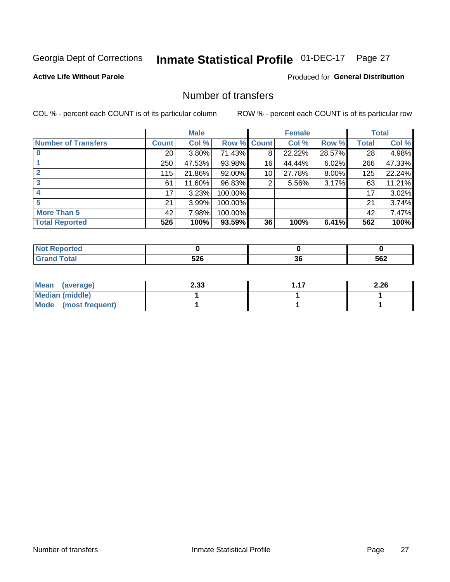# Inmate Statistical Profile 01-DEC-17 Page 27

## **Active Life Without Parole**

## **Produced for General Distribution**

# Number of transfers

COL % - percent each COUNT is of its particular column

|                            |                 | <b>Male</b> |             |                 | <b>Female</b> |        |              | <b>Total</b> |
|----------------------------|-----------------|-------------|-------------|-----------------|---------------|--------|--------------|--------------|
| <b>Number of Transfers</b> | <b>Count</b>    | Col %       | Row % Count |                 | Col %         | Row %  | <b>Total</b> | Col %        |
|                            | 20 <sub>1</sub> | $3.80\%$    | 71.43%      | 8               | 22.22%        | 28.57% | 28           | 4.98%        |
|                            | 250             | 47.53%      | 93.98%      | 16              | 44.44%        | 6.02%  | 266          | 47.33%       |
| $\mathbf{2}$               | 115             | 21.86%      | 92.00%      | 10 <sup>1</sup> | 27.78%        | 8.00%  | 125          | 22.24%       |
| 3                          | 61              | 11.60%      | 96.83%      | 2               | 5.56%         | 3.17%  | 63           | 11.21%       |
|                            | 17              | 3.23%       | 100.00%     |                 |               |        | 17           | 3.02%        |
| 5                          | 21              | 3.99%       | 100.00%     |                 |               |        | 21           | 3.74%        |
| <b>More Than 5</b>         | 42              | 7.98%       | 100.00%     |                 |               |        | 42           | 7.47%        |
| <b>Total Reported</b>      | 526             | 100%        | 93.59%      | 36              | 100%          | 6.41%  | 562          | 100%         |

| <b>prted</b><br>NOT |            |          |     |
|---------------------|------------|----------|-----|
| <sup>-</sup> otal   | につに<br>ง∠เ | ^^<br>ად | 562 |

| Mean (average)       | 2.33 | - 17 | 2.26 |
|----------------------|------|------|------|
| Median (middle)      |      |      |      |
| Mode (most frequent) |      |      |      |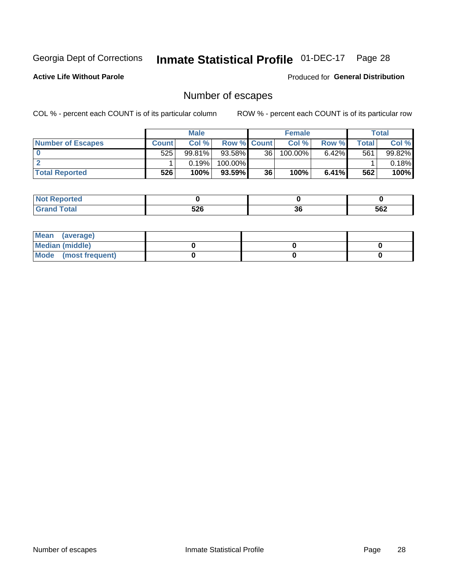# Inmate Statistical Profile 01-DEC-17 Page 28

**Active Life Without Parole** 

**Produced for General Distribution** 

# Number of escapes

COL % - percent each COUNT is of its particular column

|                          |              | <b>Male</b> |                    |                 | <b>Female</b> |          |         | <b>Total</b> |
|--------------------------|--------------|-------------|--------------------|-----------------|---------------|----------|---------|--------------|
| <b>Number of Escapes</b> | <b>Count</b> | Col %       | <b>Row % Count</b> |                 | Col %         | Row %    | Total I | Col %        |
|                          | 525          | 99.81%      | 93.58%             | 36 <sup>1</sup> | 100.00%       | $6.42\%$ | 561     | 99.82%       |
|                          |              | 0.19%       | 100.00%            |                 |               |          |         | 0.18%        |
| <b>Total Reported</b>    | 526          | 100%        | 93.59%             | 36              | 100%          | $6.41\%$ | 562     | 100%         |

| : Reported<br><b>NOT</b><br>$\sim$ |     |          |     |
|------------------------------------|-----|----------|-----|
| <b>cotal</b><br>$\mathsf{v}$ and   | 526 | ^'<br>ახ | 562 |

| Mean (average)       |  |  |
|----------------------|--|--|
| Median (middle)      |  |  |
| Mode (most frequent) |  |  |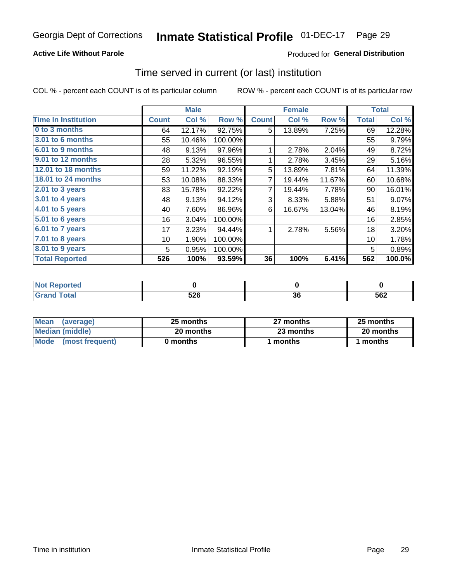## **Active Life Without Parole**

## **Produced for General Distribution**

# Time served in current (or last) institution

COL % - percent each COUNT is of its particular column

|                            |              | <b>Male</b> |         |              | <b>Female</b> |        |              | <b>Total</b> |
|----------------------------|--------------|-------------|---------|--------------|---------------|--------|--------------|--------------|
| <b>Time In Institution</b> | <b>Count</b> | Col %       | Row %   | <b>Count</b> | Col %         | Row %  | <b>Total</b> | Col %        |
| 0 to 3 months              | 64           | 12.17%      | 92.75%  | 5            | 13.89%        | 7.25%  | 69           | 12.28%       |
| 3.01 to 6 months           | 55           | 10.46%      | 100.00% |              |               |        | 55           | 9.79%        |
| 6.01 to 9 months           | 48           | 9.13%       | 97.96%  | 1            | 2.78%         | 2.04%  | 49           | 8.72%        |
| 9.01 to 12 months          | 28           | 5.32%       | 96.55%  | 1            | 2.78%         | 3.45%  | 29           | 5.16%        |
| <b>12.01 to 18 months</b>  | 59           | 11.22%      | 92.19%  | 5            | 13.89%        | 7.81%  | 64           | 11.39%       |
| 18.01 to 24 months         | 53           | 10.08%      | 88.33%  | 7            | 19.44%        | 11.67% | 60           | 10.68%       |
| 2.01 to 3 years            | 83           | 15.78%      | 92.22%  | 7            | 19.44%        | 7.78%  | 90           | 16.01%       |
| 3.01 to 4 years            | 48           | 9.13%       | 94.12%  | 3            | 8.33%         | 5.88%  | 51           | 9.07%        |
| 4.01 to 5 years            | 40           | 7.60%       | 86.96%  | 6            | 16.67%        | 13.04% | 46           | 8.19%        |
| 5.01 to 6 years            | 16           | 3.04%       | 100.00% |              |               |        | 16           | 2.85%        |
| 6.01 to 7 years            | 17           | 3.23%       | 94.44%  | 1            | 2.78%         | 5.56%  | 18           | 3.20%        |
| 7.01 to 8 years            | 10           | 1.90%       | 100.00% |              |               |        | 10           | 1.78%        |
| 8.01 to 9 years            | 5            | 0.95%       | 100.00% |              |               |        | 5            | 0.89%        |
| <b>Total Reported</b>      | 526          | 100%        | 93.59%  | 36           | 100%          | 6.41%  | 562          | 100.0%       |

| المنظمين<br><b>NOT</b><br>τeα |                   |     |     |
|-------------------------------|-------------------|-----|-----|
| $\sim$                        | <b>EOC</b><br>JZU | -JL | 562 |

| <b>Mean</b><br>(average) | 25 months | 27 months | 25 months |
|--------------------------|-----------|-----------|-----------|
| Median (middle)          | 20 months | 23 months | 20 months |
| Mode<br>(most frequent)  | 0 months  | months    | months    |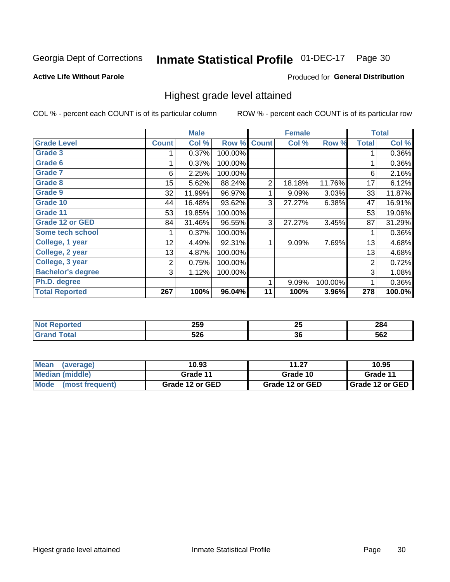#### **Inmate Statistical Profile 01-DEC-17** Page 30

### **Active Life Without Parole**

### Produced for General Distribution

# Highest grade level attained

COL % - percent each COUNT is of its particular column

|                          |              | <b>Male</b> |         |                | <b>Female</b> |         |              | <b>Total</b> |
|--------------------------|--------------|-------------|---------|----------------|---------------|---------|--------------|--------------|
| <b>Grade Level</b>       | <b>Count</b> | Col %       | Row %   | <b>Count</b>   | Col %         | Row %   | <b>Total</b> | Col %        |
| <b>Grade 3</b>           |              | 0.37%       | 100.00% |                |               |         | 1            | 0.36%        |
| Grade 6                  |              | 0.37%       | 100.00% |                |               |         |              | 0.36%        |
| <b>Grade 7</b>           | 6            | 2.25%       | 100.00% |                |               |         | 6            | 2.16%        |
| <b>Grade 8</b>           | 15           | 5.62%       | 88.24%  | $\overline{2}$ | 18.18%        | 11.76%  | 17           | 6.12%        |
| <b>Grade 9</b>           | 32           | 11.99%      | 96.97%  | 1              | 9.09%         | 3.03%   | 33           | 11.87%       |
| Grade 10                 | 44           | 16.48%      | 93.62%  | 3              | 27.27%        | 6.38%   | 47           | 16.91%       |
| Grade 11                 | 53           | 19.85%      | 100.00% |                |               |         | 53           | 19.06%       |
| <b>Grade 12 or GED</b>   | 84           | 31.46%      | 96.55%  | 3              | 27.27%        | 3.45%   | 87           | 31.29%       |
| Some tech school         |              | 0.37%       | 100.00% |                |               |         | 1            | 0.36%        |
| College, 1 year          | 12           | 4.49%       | 92.31%  | 1              | 9.09%         | 7.69%   | 13           | 4.68%        |
| College, 2 year          | 13           | 4.87%       | 100.00% |                |               |         | 13           | 4.68%        |
| College, 3 year          | 2            | 0.75%       | 100.00% |                |               |         | 2            | 0.72%        |
| <b>Bachelor's degree</b> | 3            | 1.12%       | 100.00% |                |               |         | 3            | 1.08%        |
| Ph.D. degree             |              |             |         | 1              | 9.09%         | 100.00% | 1            | 0.36%        |
| <b>Total Reported</b>    | 267          | 100%        | 96.04%  | 11             | 100%          | 3.96%   | 278          | 100.0%       |

| האה        | つに | 284  |
|------------|----|------|
| ᅀᇰ         | 20 | ____ |
| cnc<br>ว∠บ | 36 |      |

| <b>Mean</b><br>(average)       | 10.93           | 11.27           | 10.95           |  |
|--------------------------------|-----------------|-----------------|-----------------|--|
| Median (middle)                | Grade 11        | Grade 10        | Grade 11        |  |
| <b>Mode</b><br>(most frequent) | Grade 12 or GED | Grade 12 or GED | Grade 12 or GED |  |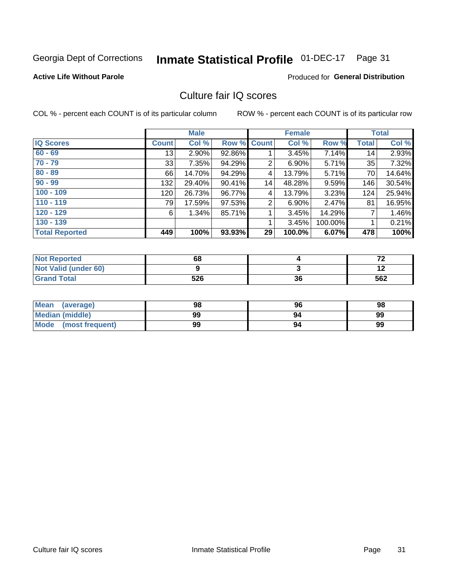#### **Inmate Statistical Profile 01-DEC-17** Page 31

## **Active Life Without Parole**

### Produced for General Distribution

# Culture fair IQ scores

COL % - percent each COUNT is of its particular column

|                       |              | <b>Male</b> |        |                | <b>Female</b> |          |              | <b>Total</b> |
|-----------------------|--------------|-------------|--------|----------------|---------------|----------|--------------|--------------|
| <b>IQ Scores</b>      | <b>Count</b> | Col %       |        | Row % Count    | Col %         | Row %    | <b>Total</b> | Col %        |
| $60 - 69$             | 13           | $2.90\%$    | 92.86% |                | 3.45%         | 7.14%    | 14           | 2.93%        |
| $70 - 79$             | 33           | 7.35%       | 94.29% | 2              | 6.90%         | $5.71\%$ | 35           | 7.32%        |
| $80 - 89$             | 66           | 14.70%      | 94.29% | 4              | 13.79%        | $5.71\%$ | 70           | 14.64%       |
| $90 - 99$             | 132          | 29.40%      | 90.41% | 14             | 48.28%        | $9.59\%$ | 146          | 30.54%       |
| $100 - 109$           | 120          | 26.73%      | 96.77% | 4              | 13.79%        | 3.23%    | 124          | 25.94%       |
| $110 - 119$           | 79           | 17.59%      | 97.53% | $\overline{2}$ | 6.90%         | 2.47%    | 81           | 16.95%       |
| $120 - 129$           | 6            | 1.34%       | 85.71% | 1              | 3.45%         | 14.29%   | 7            | 1.46%        |
| $130 - 139$           |              |             |        | 1              | 3.45%         | 100.00%  |              | 0.21%        |
| <b>Total Reported</b> | 449          | 100%        | 93.93% | 29             | 100.0%        | 6.07%    | 478          | 100%         |

| <b>Not Reported</b>  | 68  |    | $\overline{\phantom{a}}$ |
|----------------------|-----|----|--------------------------|
| Not Valid (under 60) |     |    | ' 4                      |
| <b>Grand Total</b>   | 526 | 36 | 562                      |

| Mean<br>(average)       | 98 | 96 | 98 |
|-------------------------|----|----|----|
| <b>Median (middle)</b>  | 99 |    | 99 |
| Mode<br>(most frequent) | 99 | 94 | 99 |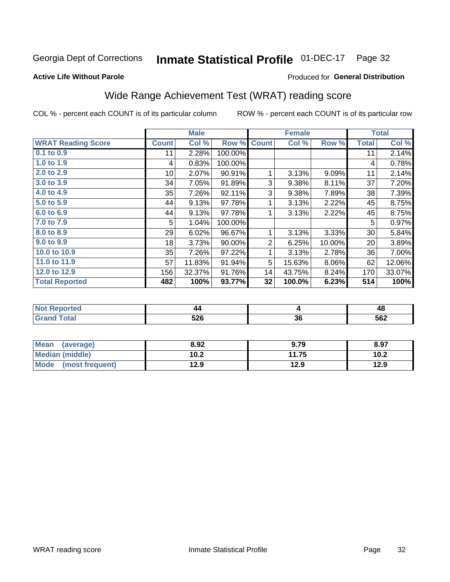# Inmate Statistical Profile 01-DEC-17 Page 32

### **Active Life Without Parole**

### Produced for General Distribution

# Wide Range Achievement Test (WRAT) reading score

COL % - percent each COUNT is of its particular column

|                           |              | <b>Male</b> |         |              | <b>Female</b> |          |              | <b>Total</b> |
|---------------------------|--------------|-------------|---------|--------------|---------------|----------|--------------|--------------|
| <b>WRAT Reading Score</b> | <b>Count</b> | Col %       | Row %   | <b>Count</b> | Col %         | Row %    | <b>Total</b> | Col %        |
| 0.1 to 0.9                | 11           | 2.28%       | 100.00% |              |               |          | 11           | 2.14%        |
| 1.0 to 1.9                | 4            | 0.83%       | 100.00% |              |               |          | 4            | 0.78%        |
| 2.0 to 2.9                | 10           | 2.07%       | 90.91%  | 1            | 3.13%         | 9.09%    | 11           | 2.14%        |
| 3.0 to 3.9                | 34           | 7.05%       | 91.89%  | 3            | 9.38%         | 8.11%    | 37           | 7.20%        |
| 4.0 to 4.9                | 35           | 7.26%       | 92.11%  | 3            | 9.38%         | 7.89%    | 38           | 7.39%        |
| 5.0 to 5.9                | 44           | 9.13%       | 97.78%  |              | 3.13%         | 2.22%    | 45           | 8.75%        |
| 6.0 to 6.9                | 44           | 9.13%       | 97.78%  |              | 3.13%         | 2.22%    | 45           | 8.75%        |
| 7.0 to 7.9                | 5            | 1.04%       | 100.00% |              |               |          | 5            | 0.97%        |
| 8.0 to 8.9                | 29           | 6.02%       | 96.67%  | 1            | 3.13%         | 3.33%    | 30           | 5.84%        |
| 9.0 to 9.9                | 18           | 3.73%       | 90.00%  | 2            | 6.25%         | 10.00%   | 20           | 3.89%        |
| 10.0 to 10.9              | 35           | 7.26%       | 97.22%  | 1            | 3.13%         | 2.78%    | 36           | 7.00%        |
| 11.0 to 11.9              | 57           | 11.83%      | 91.94%  | 5            | 15.63%        | $8.06\%$ | 62           | 12.06%       |
| 12.0 to 12.9              | 156          | 32.37%      | 91.76%  | 14           | 43.75%        | 8.24%    | 170          | 33.07%       |
| <b>Total Reported</b>     | 482          | 100%        | 93.77%  | 32           | 100.0%        | 6.23%    | 514          | 100%         |

| 44         |    | 4c  |
|------------|----|-----|
| coc<br>ง∠บ | აი | 562 |

| <b>Mean</b><br>(average) | 8.92 | 9.79  | 8.97 |
|--------------------------|------|-------|------|
| <b>Median (middle)</b>   | 10.2 | 11.75 | 10.2 |
| Mode (most frequent)     | 12.9 | 12.9  | 12.9 |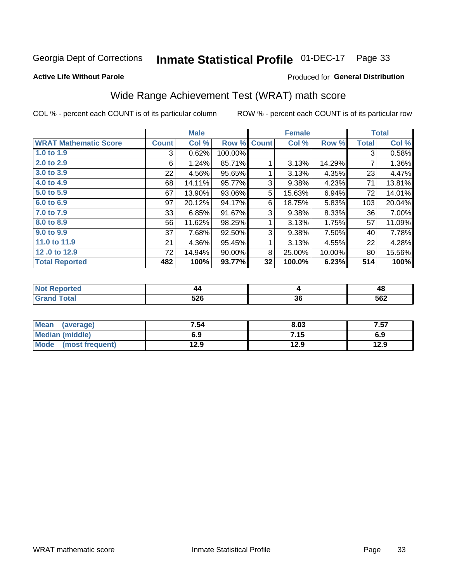#### Inmate Statistical Profile 01-DEC-17 Page 33

### **Active Life Without Parole**

## **Produced for General Distribution**

# Wide Range Achievement Test (WRAT) math score

COL % - percent each COUNT is of its particular column

|                              |       | <b>Male</b> |           |              | <b>Female</b> |        |       | <b>Total</b> |
|------------------------------|-------|-------------|-----------|--------------|---------------|--------|-------|--------------|
| <b>WRAT Mathematic Score</b> | Count | Col %       | Row %     | <b>Count</b> | Col %         | Row %  | Total | Col %        |
| 1.0 to 1.9                   | 3     | 0.62%       | 100.00%   |              |               |        | 3     | 0.58%        |
| 2.0 to 2.9                   | 6     | 1.24%       | 85.71%    |              | 3.13%         | 14.29% | 7     | 1.36%        |
| 3.0 to 3.9                   | 22    | 4.56%       | 95.65%    | 1            | 3.13%         | 4.35%  | 23    | 4.47%        |
| 4.0 to 4.9                   | 68    | 14.11%      | 95.77%    | 3            | 9.38%         | 4.23%  | 71    | 13.81%       |
| 5.0 to 5.9                   | 67    | 13.90%      | 93.06%    | 5            | 15.63%        | 6.94%  | 72    | 14.01%       |
| 6.0 to 6.9                   | 97    | 20.12%      | 94.17%    | 6            | 18.75%        | 5.83%  | 103   | 20.04%       |
| 7.0 to 7.9                   | 33    | 6.85%       | 91.67%    | 3            | 9.38%         | 8.33%  | 36    | 7.00%        |
| 8.0 to 8.9                   | 56    | 11.62%      | 98.25%    | 1            | 3.13%         | 1.75%  | 57    | 11.09%       |
| 9.0 to 9.9                   | 37    | 7.68%       | 92.50%    | 3            | 9.38%         | 7.50%  | 40    | 7.78%        |
| 11.0 to 11.9                 | 21    | 4.36%       | 95.45%    | 1            | 3.13%         | 4.55%  | 22    | 4.28%        |
| 12.0 to 12.9                 | 72    | 14.94%      | $90.00\%$ | 8            | 25.00%        | 10.00% | 80    | 15.56%       |
| <b>Total Reported</b>        | 482   | 100%        | 93.77%    | 32           | 100.0%        | 6.23%  | 514   | 100%         |

| N<br>an a bheala | 44<br>$\sim$ |    | 48                        |
|------------------|--------------|----|---------------------------|
|                  | cne<br>◡▴◡   | ათ | <b>EGO</b><br>◡◡▵<br>$ -$ |

| <b>Mean</b><br>(average) | 7.54 | 8.03 | 7.57 |
|--------------------------|------|------|------|
| <b>Median (middle)</b>   | 6.9  | 7.15 | 6.9  |
| Mode<br>(most frequent)  | 12.9 | 12.9 | 12.9 |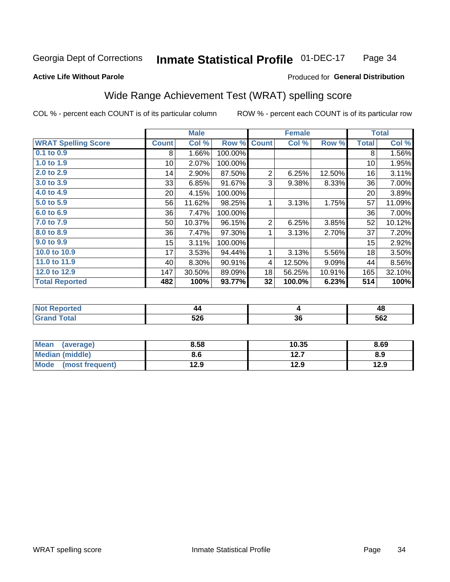#### **Inmate Statistical Profile 01-DEC-17** Page 34

### **Active Life Without Parole**

## **Produced for General Distribution**

# Wide Range Achievement Test (WRAT) spelling score

COL % - percent each COUNT is of its particular column

|                            |                  | <b>Male</b> |         |                | <b>Female</b> |        |              | <b>Total</b> |
|----------------------------|------------------|-------------|---------|----------------|---------------|--------|--------------|--------------|
| <b>WRAT Spelling Score</b> | <b>Count</b>     | Col %       | Row %   | <b>Count</b>   | Col %         | Row %  | <b>Total</b> | Col %        |
| 0.1 to 0.9                 | 8                | 1.66%       | 100.00% |                |               |        | 8            | 1.56%        |
| 1.0 to 1.9                 | 10 <sup>1</sup>  | 2.07%       | 100.00% |                |               |        | 10           | 1.95%        |
| 2.0 to 2.9                 | 14               | 2.90%       | 87.50%  | $\overline{2}$ | 6.25%         | 12.50% | 16           | 3.11%        |
| 3.0 to 3.9                 | 33               | 6.85%       | 91.67%  | 3              | 9.38%         | 8.33%  | 36           | 7.00%        |
| 4.0 to 4.9                 | 20 <sup>°</sup>  | 4.15%       | 100.00% |                |               |        | 20           | 3.89%        |
| 5.0 to 5.9                 | 56               | 11.62%      | 98.25%  |                | 3.13%         | 1.75%  | 57           | 11.09%       |
| 6.0 to 6.9                 | 36               | 7.47%       | 100.00% |                |               |        | 36           | 7.00%        |
| 7.0 to 7.9                 | 50               | 10.37%      | 96.15%  | 2              | 6.25%         | 3.85%  | 52           | 10.12%       |
| 8.0 to 8.9                 | 36               | 7.47%       | 97.30%  |                | 3.13%         | 2.70%  | 37           | 7.20%        |
| 9.0 to 9.9                 | 15 <sub>15</sub> | 3.11%       | 100.00% |                |               |        | 15           | 2.92%        |
| 10.0 to 10.9               | 17               | 3.53%       | 94.44%  | 1              | 3.13%         | 5.56%  | 18           | 3.50%        |
| 11.0 to 11.9               | 40               | 8.30%       | 90.91%  | 4              | 12.50%        | 9.09%  | 44           | 8.56%        |
| 12.0 to 12.9               | 147              | 30.50%      | 89.09%  | 18             | 56.25%        | 10.91% | 165          | 32.10%       |
| <b>Total Reported</b>      | 482              | 100%        | 93.77%  | 32             | 100.0%        | 6.23%  | 514          | 100%         |

| 44         |    | 4c  |
|------------|----|-----|
| coc<br>ง∠บ | აი | 562 |

| <b>Mean</b><br>(average) | 8.58 | 10.35        | 8.69 |
|--------------------------|------|--------------|------|
| Median (middle)          | 8.6  | 127<br>I 4.I | 8.9  |
| Mode (most frequent)     | 12.9 | 12.9         | 12.9 |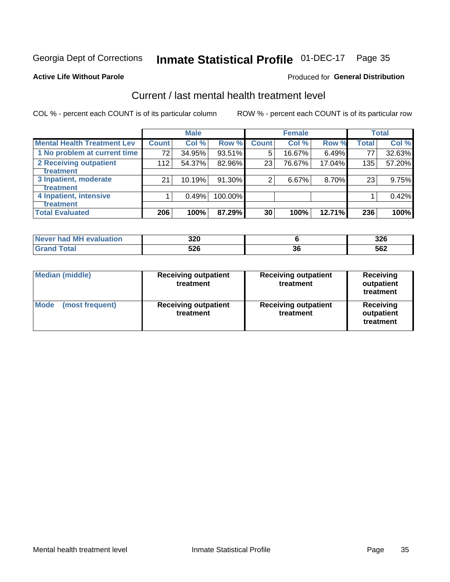# Inmate Statistical Profile 01-DEC-17 Page 35

### **Active Life Without Parole**

### Produced for General Distribution

# Current / last mental health treatment level

COL % - percent each COUNT is of its particular column

|                                    |                 | <b>Male</b> |         |              | <b>Female</b> |        |              | <b>Total</b> |
|------------------------------------|-----------------|-------------|---------|--------------|---------------|--------|--------------|--------------|
| <b>Mental Health Treatment Lev</b> | <b>Count</b>    | Col %       | Row %   | <b>Count</b> | Col %         | Row %  | <b>Total</b> | Col %        |
| 1 No problem at current time       | 72 <sub>1</sub> | 34.95%      | 93.51%  | 5            | 16.67%        | 6.49%  | 77           | 32.63%       |
| 2 Receiving outpatient             | 112             | 54.37%      | 82.96%  | 23           | 76.67%        | 17.04% | 135          | 57.20%       |
| <b>Treatment</b>                   |                 |             |         |              |               |        |              |              |
| 3 Inpatient, moderate              | 21              | 10.19%      | 91.30%  | 2            | 6.67%         | 8.70%  | 23           | 9.75%        |
| <b>Treatment</b>                   |                 |             |         |              |               |        |              |              |
| 4 Inpatient, intensive             |                 | 0.49%       | 100.00% |              |               |        |              | 0.42%        |
| Treatment                          |                 |             |         |              |               |        |              |              |
| <b>Total Evaluated</b>             | 206             | 100%        | 87.29%  | 30           | 100%          | 12.71% | 236          | 100%         |

| Never had MH evaluation | 320 |              | 326 |
|-------------------------|-----|--------------|-----|
| Total                   | 526 | $\sim$<br>JU | 562 |

| <b>Median (middle)</b>         | <b>Receiving outpatient</b><br>treatment | <b>Receiving outpatient</b><br>treatment | <b>Receiving</b><br>outpatient<br>treatment |  |
|--------------------------------|------------------------------------------|------------------------------------------|---------------------------------------------|--|
| <b>Mode</b><br>(most frequent) | <b>Receiving outpatient</b><br>treatment | <b>Receiving outpatient</b><br>treatment | <b>Receiving</b><br>outpatient<br>treatment |  |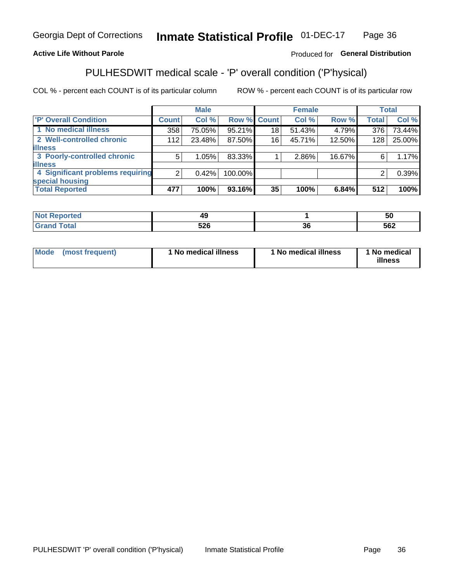#### Inmate Statistical Profile 01-DEC-17 Page 36

## **Active Life Without Parole**

## Produced for General Distribution

# PULHESDWIT medical scale - 'P' overall condition ('P'hysical)

COL % - percent each COUNT is of its particular column

|                                  |         | <b>Male</b> |             |    | <b>Female</b> |        |              | <b>Total</b> |
|----------------------------------|---------|-------------|-------------|----|---------------|--------|--------------|--------------|
| 'P' Overall Condition            | Count l | Col %       | Row % Count |    | Col %         | Row %  | <b>Total</b> | Col %        |
| 1 No medical illness             | 358     | 75.05%      | 95.21%      | 18 | 51.43%        | 4.79%  | 376          | 73.44%       |
| 2 Well-controlled chronic        | 112     | 23.48%      | 87.50%      | 16 | 45.71%        | 12.50% | 128          | 25.00%       |
| <b>illness</b>                   |         |             |             |    |               |        |              |              |
| 3 Poorly-controlled chronic      | 5       | 1.05%       | 83.33%      |    | 2.86%         | 16.67% | 6            | 1.17%        |
| <b>illness</b>                   |         |             |             |    |               |        |              |              |
| 4 Significant problems requiring | 2       | 0.42%       | 100.00%     |    |               |        | 2            | 0.39%        |
| special housing                  |         |             |             |    |               |        |              |              |
| <b>Total Reported</b>            | 477     | 100%        | 93.16%      | 35 | 100%          | 6.84%  | 512          | 100%         |

|       | л                          |            | 50                |
|-------|----------------------------|------------|-------------------|
| _____ | - ^ ^<br><b>JLL</b><br>--- | $\sim$<br> | <b>EGO</b><br>∸טע |

| <b>Mode</b> | (most frequent) | 1 No medical illness | 1 No medical illness | 1 No medical<br>illness |
|-------------|-----------------|----------------------|----------------------|-------------------------|
|-------------|-----------------|----------------------|----------------------|-------------------------|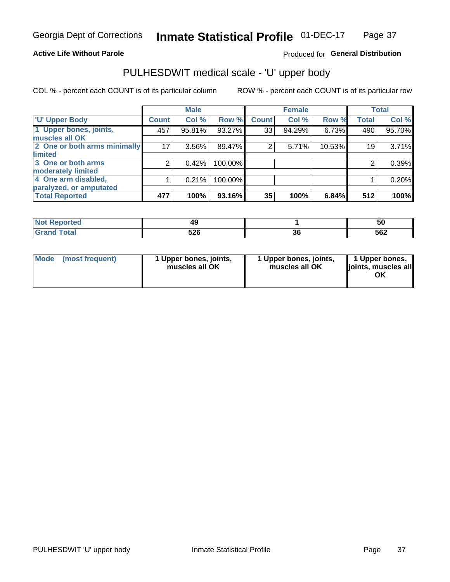### **Active Life Without Parole**

## Produced for General Distribution

# PULHESDWIT medical scale - 'U' upper body

COL % - percent each COUNT is of its particular column

|                              |              | <b>Male</b> |         |              | <b>Female</b> |        |              | <b>Total</b> |
|------------------------------|--------------|-------------|---------|--------------|---------------|--------|--------------|--------------|
| <b>U' Upper Body</b>         | <b>Count</b> | Col %       | Row %   | <b>Count</b> | Col %         | Row %  | <b>Total</b> | Col %        |
| 1 Upper bones, joints,       | 457          | 95.81%      | 93.27%  | 33           | 94.29%        | 6.73%  | 490          | 95.70%       |
| muscles all OK               |              |             |         |              |               |        |              |              |
| 2 One or both arms minimally | 17           | 3.56%       | 89.47%  | 2            | 5.71%         | 10.53% | 19           | 3.71%        |
| limited                      |              |             |         |              |               |        |              |              |
| 3 One or both arms           | 2            | 0.42%       | 100.00% |              |               |        | 2            | 0.39%        |
| <b>moderately limited</b>    |              |             |         |              |               |        |              |              |
| 4 One arm disabled,          |              | 0.21%       | 100.00% |              |               |        |              | 0.20%        |
| paralyzed, or amputated      |              |             |         |              |               |        |              |              |
| <b>Total Reported</b>        | 477          | 100%        | 93.16%  | 35           | 100%          | 6.84%  | 512          | 100%         |

| <b>Not Reported</b> |     |   | 50  |
|---------------------|-----|---|-----|
| <b>Total</b>        | につに | ~ | 562 |
| ا الله ا            | JZU | u |     |

|  | Mode (most frequent) | 1 Upper bones, joints,<br>muscles all OK | 1 Upper bones, joints,<br>muscles all OK | 1 Upper bones,<br>ljoints, muscles all<br>ΟK |
|--|----------------------|------------------------------------------|------------------------------------------|----------------------------------------------|
|--|----------------------|------------------------------------------|------------------------------------------|----------------------------------------------|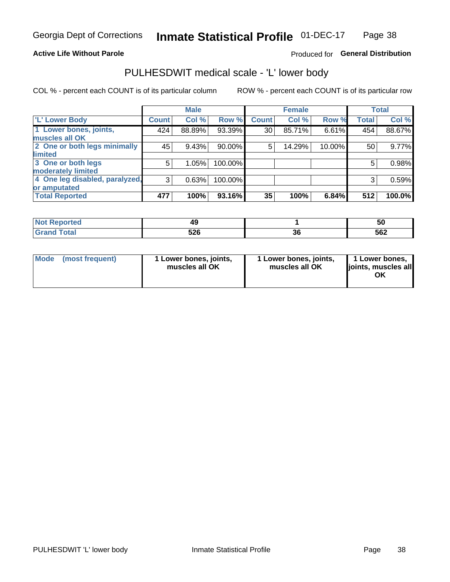### **Active Life Without Parole**

## Produced for General Distribution

# PULHESDWIT medical scale - 'L' lower body

COL % - percent each COUNT is of its particular column

|                                |              | <b>Male</b> |         |              | <b>Female</b> |        |              | <b>Total</b> |
|--------------------------------|--------------|-------------|---------|--------------|---------------|--------|--------------|--------------|
| 'L' Lower Body                 | <b>Count</b> | Col %       | Row %   | <b>Count</b> | Col %         | Row %  | <b>Total</b> | Col %        |
| 1 Lower bones, joints,         | 424          | 88.89%      | 93.39%  | 30           | 85.71%        | 6.61%  | 454          | 88.67%       |
| muscles all OK                 |              |             |         |              |               |        |              |              |
| 2 One or both legs minimally   | 45           | 9.43%       | 90.00%  | 5            | 14.29%        | 10.00% | 50           | 9.77%        |
| limited                        |              |             |         |              |               |        |              |              |
| 3 One or both legs             | 5            | 1.05%       | 100.00% |              |               |        | 5            | 0.98%        |
| moderately limited             |              |             |         |              |               |        |              |              |
| 4 One leg disabled, paralyzed, | 3            | 0.63%       | 100.00% |              |               |        | 3            | 0.59%        |
| or amputated                   |              |             |         |              |               |        |              |              |
| <b>Total Reported</b>          | 477          | 100%        | 93.16%  | 35           | 100%          | 6.84%  | 512          | 100.0%       |

| orted<br><b>NOT REDOM:</b><br>. <b>.</b> |            |         | ้วเ |
|------------------------------------------|------------|---------|-----|
| <b>Total</b>                             | につに<br>JLU | ~<br>Jι | 562 |

| Mode | (most frequent) | 1 Lower bones, joints,<br>muscles all OK | 1 Lower bones, joints,<br>muscles all OK | 1 Lower bones,<br>ljoints, muscles all<br>OK |
|------|-----------------|------------------------------------------|------------------------------------------|----------------------------------------------|
|------|-----------------|------------------------------------------|------------------------------------------|----------------------------------------------|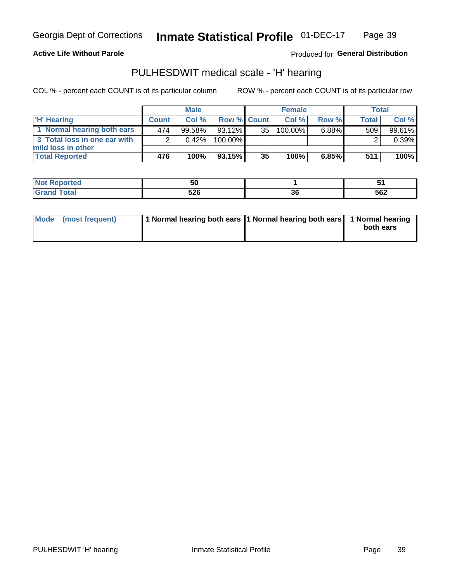**Active Life Without Parole** 

Produced for General Distribution

# PULHESDWIT medical scale - 'H' hearing

COL % - percent each COUNT is of its particular column

|                              | <b>Male</b>  |          | <b>Female</b>      |                 |            | Total |              |        |
|------------------------------|--------------|----------|--------------------|-----------------|------------|-------|--------------|--------|
| <b>H'</b> Hearing            | <b>Count</b> | Col%     | <b>Row % Count</b> |                 | Col %      | Row % | <b>Total</b> | Col %  |
| 1 Normal hearing both ears   | 474          | 99.58%   | $93.12\%$          | 35              | $100.00\%$ | 6.88% | 509          | 99.61% |
| 3 Total loss in one ear with | C            | $0.42\%$ | 100.00%            |                 |            |       |              | 0.39%  |
| mild loss in other           |              |          |                    |                 |            |       |              |        |
| <b>Total Reported</b>        | 476          | 100%     | 93.15%             | 35 <sub>1</sub> | 100%       | 6.85% | 511          | 100%   |

| -<br>TE 10 | . .<br>u          |      | $\sim$ |
|------------|-------------------|------|--------|
| ______     | <b>FOR</b><br>◡∸◡ | - JU | 562    |

|  | Mode (most frequent) | 1 Normal hearing both ears 1 Normal hearing both ears 1 Normal hearing |  | both ears |
|--|----------------------|------------------------------------------------------------------------|--|-----------|
|--|----------------------|------------------------------------------------------------------------|--|-----------|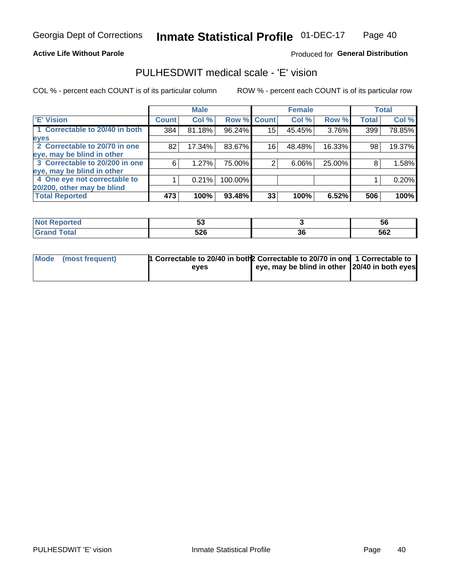### **Active Life Without Parole**

## Produced for General Distribution

# PULHESDWIT medical scale - 'E' vision

COL % - percent each COUNT is of its particular column

|                                |              | <b>Male</b> |             |    | <b>Female</b> |        |              | <b>Total</b> |
|--------------------------------|--------------|-------------|-------------|----|---------------|--------|--------------|--------------|
| <b>E' Vision</b>               | <b>Count</b> | Col %       | Row % Count |    | Col %         | Row %  | <b>Total</b> | Col %        |
| 1 Correctable to 20/40 in both | 384          | 81.18%      | 96.24%      | 15 | 45.45%        | 3.76%  | 399          | 78.85%       |
| eyes                           |              |             |             |    |               |        |              |              |
| 2 Correctable to 20/70 in one  | 82           | 17.34%      | 83.67%      | 16 | 48.48%        | 16.33% | 98           | 19.37%       |
| eye, may be blind in other     |              |             |             |    |               |        |              |              |
| 3 Correctable to 20/200 in one | 6            | 1.27%       | 75.00%      |    | 6.06%         | 25.00% | 8            | 1.58%        |
| eye, may be blind in other     |              |             |             |    |               |        |              |              |
| 4 One eye not correctable to   |              | 0.21%       | 100.00%     |    |               |        |              | 0.20%        |
| 20/200, other may be blind     |              |             |             |    |               |        |              |              |
| <b>Total Reported</b>          | 473          | 100%        | $93.48\%$   | 33 | 100%          | 6.52%  | 506          | 100%         |

| <b>Not</b><br><b>roorted</b><br>Reno | JJ  |          | <b>b</b> |
|--------------------------------------|-----|----------|----------|
| <b>Total</b><br>Cror                 | 526 | ^^<br>ახ | 562      |

| Mode (most frequent) | 1 Correctable to 20/40 in both 2 Correctable to 20/70 in one 1 Correctable to |                                               |  |
|----------------------|-------------------------------------------------------------------------------|-----------------------------------------------|--|
|                      | eves                                                                          | eye, may be blind in other 20/40 in both eyes |  |
|                      |                                                                               |                                               |  |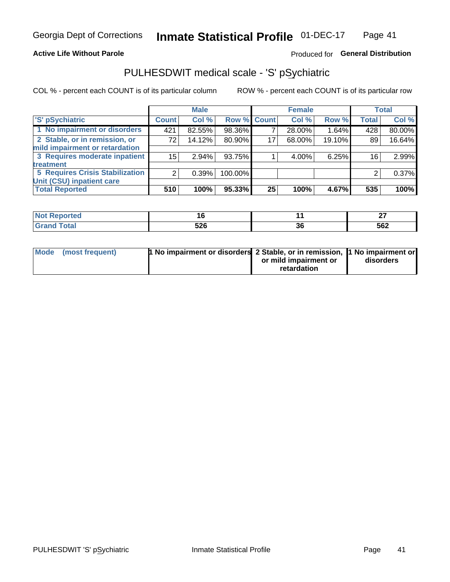### **Active Life Without Parole**

## Produced for General Distribution

# PULHESDWIT medical scale - 'S' pSychiatric

COL % - percent each COUNT is of its particular column

|                                        |              | <b>Male</b> |             |    | <b>Female</b> |        |              | Total  |
|----------------------------------------|--------------|-------------|-------------|----|---------------|--------|--------------|--------|
| 'S' pSychiatric                        | <b>Count</b> | Col %       | Row % Count |    | Col %         | Row %  | <b>Total</b> | Col %  |
| 1 No impairment or disorders           | 421          | 82.55%      | 98.36%      |    | 28.00%        | 1.64%  | 428          | 80.00% |
| 2 Stable, or in remission, or          | 72           | 14.12%      | 80.90%      | 17 | 68.00%        | 19.10% | 89           | 16.64% |
| mild impairment or retardation         |              |             |             |    |               |        |              |        |
| 3 Requires moderate inpatient          | 15           | 2.94%       | 93.75%      |    | 4.00%         | 6.25%  | 16           | 2.99%  |
| treatment                              |              |             |             |    |               |        |              |        |
| <b>5 Requires Crisis Stabilization</b> | ົ            | 0.39%       | 100.00%     |    |               |        | 2            | 0.37%  |
| Unit (CSU) inpatient care              |              |             |             |    |               |        |              |        |
| <b>Total Reported</b>                  | 510          | 100%        | 95.33%      | 25 | 100%          | 4.67%  | 535          | 100%   |

| 77 F.H |                    |           | ~-<br>-- |
|--------|--------------------|-----------|----------|
|        | cnc<br>JLV<br>$ -$ | ^ ^<br>JС | 562      |

| Mode (most frequent) | <sup>1</sup> No impairment or disorders 2 Stable, or in remission, <sup>1</sup> No impairment or |                       |           |
|----------------------|--------------------------------------------------------------------------------------------------|-----------------------|-----------|
|                      |                                                                                                  | or mild impairment or | disorders |
|                      |                                                                                                  | retardation           |           |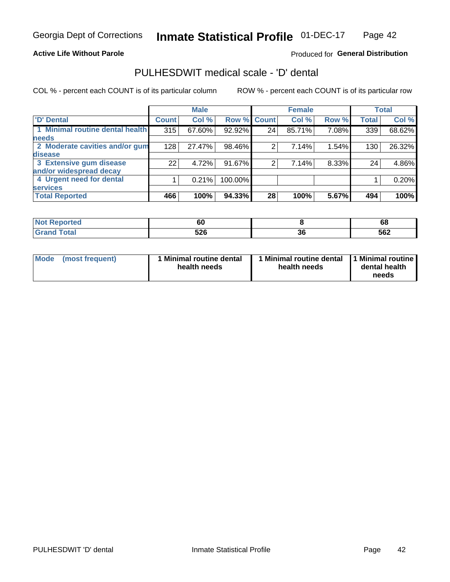### **Active Life Without Parole**

## Produced for General Distribution

# PULHESDWIT medical scale - 'D' dental

COL % - percent each COUNT is of its particular column

|                                 |                 | <b>Male</b> |         |              | <b>Female</b> |       |              | <b>Total</b> |
|---------------------------------|-----------------|-------------|---------|--------------|---------------|-------|--------------|--------------|
| <b>D'</b> Dental                | <b>Count</b>    | Col %       | Row %   | <b>Count</b> | Col %         | Row % | <b>Total</b> | Col %        |
| 1 Minimal routine dental health | 315             | 67.60%      | 92.92%  | 24           | 85.71%        | 7.08% | 339          | 68.62%       |
| <b>needs</b>                    |                 |             |         |              |               |       |              |              |
| 2 Moderate cavities and/or gum  | 128             | 27.47%      | 98.46%  | 2            | 7.14%         | 1.54% | 130          | 26.32%       |
| disease                         |                 |             |         |              |               |       |              |              |
| 3 Extensive gum disease         | 22 <sub>1</sub> | 4.72%       | 91.67%  | 2            | 7.14%         | 8.33% | 24           | 4.86%        |
| and/or widespread decay         |                 |             |         |              |               |       |              |              |
| 4 Urgent need for dental        |                 | 0.21%       | 100.00% |              |               |       |              | 0.20%        |
| <b>services</b>                 |                 |             |         |              |               |       |              |              |
| <b>Total Reported</b>           | 466             | 100%        | 94.33%  | 28           | 100%          | 5.67% | 494          | 100%         |

| orted<br><b>NOT REPO</b><br>$1.15$ . | 60         |          | 68  |
|--------------------------------------|------------|----------|-----|
| Total                                | EOC<br>JZY | ^^<br>ად | 562 |

| Mode | (most frequent) | <b>Minimal routine dental</b><br>health needs | 1 Minimal routine dental 1 Minimal routine<br>health needs | dental health<br>needs |
|------|-----------------|-----------------------------------------------|------------------------------------------------------------|------------------------|
|------|-----------------|-----------------------------------------------|------------------------------------------------------------|------------------------|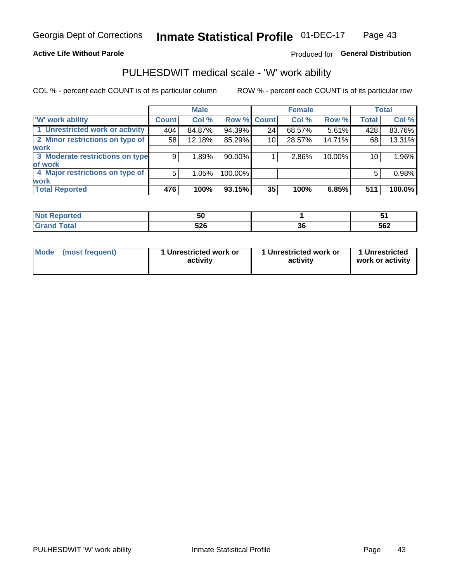### **Active Life Without Parole**

## Produced for General Distribution

# PULHESDWIT medical scale - 'W' work ability

COL % - percent each COUNT is of its particular column

|                                 |              | <b>Male</b> |                    |    | <b>Female</b> |        |              | <b>Total</b> |
|---------------------------------|--------------|-------------|--------------------|----|---------------|--------|--------------|--------------|
| <b>W' work ability</b>          | <b>Count</b> | Col %       | <b>Row % Count</b> |    | Col %         | Row %  | <b>Total</b> | Col %        |
| 1 Unrestricted work or activity | 404          | 84.87%      | 94.39%             | 24 | 68.57%        | 5.61%  | 428          | 83.76%       |
| 2 Minor restrictions on type of | 58           | 12.18%      | 85.29%             | 10 | 28.57%        | 14.71% | 68           | 13.31%       |
| <b>work</b>                     |              |             |                    |    |               |        |              |              |
| 3 Moderate restrictions on type | 9            | 1.89%       | $90.00\%$          |    | 2.86%         | 10.00% | 10           | $1.96\%$     |
| of work                         |              |             |                    |    |               |        |              |              |
| 4 Major restrictions on type of | 5            | 1.05%       | 100.00%            |    |               |        | 5            | 0.98%        |
| <b>work</b>                     |              |             |                    |    |               |        |              |              |
| <b>Total Reported</b>           | 476          | 100%        | 93.15%             | 35 | 100%          | 6.85%  | 511          | 100.0%       |

| πе. | ้วน        |           | ີ   |
|-----|------------|-----------|-----|
|     | につC<br>υ∠υ | ^^<br>oc. | 562 |

| Mode            | 1 Unrestricted work or | 1 Unrestricted work or | 1 Unrestricted   |
|-----------------|------------------------|------------------------|------------------|
| (most frequent) | activity               | activity               | work or activity |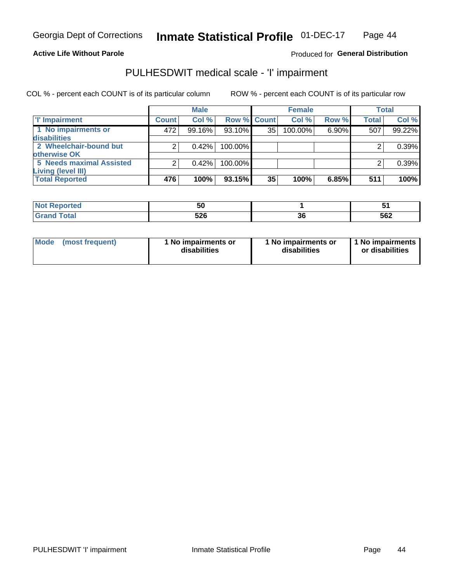**Active Life Without Parole** 

Produced for General Distribution

# PULHESDWIT medical scale - 'I' impairment

COL % - percent each COUNT is of its particular column ROW % - percent each COUNT is of its particular row

|                                 |              | <b>Male</b> |             |    | <b>Female</b> |       |              | <b>Total</b> |
|---------------------------------|--------------|-------------|-------------|----|---------------|-------|--------------|--------------|
| <b>T' Impairment</b>            | <b>Count</b> | Col %       | Row % Count |    | Col%          | Row % | <b>Total</b> | Col %        |
| 1 No impairments or             | 472          | 99.16%      | 93.10%      | 35 | 100.00%       | 6.90% | 507          | 99.22%       |
| <b>disabilities</b>             |              |             |             |    |               |       |              |              |
| 2 Wheelchair-bound but          | C            | 0.42%       | $100.00\%$  |    |               |       |              | 0.39%        |
| otherwise OK                    |              |             |             |    |               |       |              |              |
| <b>5 Needs maximal Assisted</b> | っ            | 0.42%       | 100.00%     |    |               |       |              | 0.39%        |
| <b>Living (level III)</b>       |              |             |             |    |               |       |              |              |
| <b>Total Reported</b>           | 476          | 100%        | 93.15%      | 35 | 100%          | 6.85% | 511          | 100%         |
|                                 |              |             |             |    |               |       |              |              |

| rtea                                                        | 50  |    |     |
|-------------------------------------------------------------|-----|----|-----|
| $F \wedge f \wedge f$<br>. Jidi<br>$\sim$ . $\sim$ . $\sim$ | 526 | აი | 562 |

| <b>Mode</b>     | 1 No impairments or | 1 No impairments or | 1 1 No impairments |
|-----------------|---------------------|---------------------|--------------------|
| (most frequent) | disabilities        | disabilities        | or disabilities    |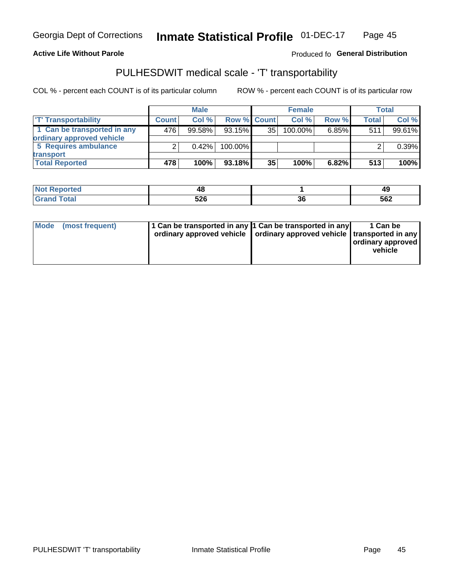### **Active Life Without Parole**

## Produced fo General Distribution

# PULHESDWIT medical scale - 'T' transportability

COL % - percent each COUNT is of its particular column

|                             |              | <b>Male</b> |                    |                 | <b>Female</b> |          |              | Total  |
|-----------------------------|--------------|-------------|--------------------|-----------------|---------------|----------|--------------|--------|
| <b>T' Transportability</b>  | <b>Count</b> | Col%        | <b>Row % Count</b> |                 | Col %         | Row %    | <b>Total</b> | Col %  |
| 1 Can be transported in any | 476          | 99.58%      | $93.15\%$          | 35 <sub>1</sub> | 100.00%       | $6.85\%$ | 511          | 99.61% |
| ordinary approved vehicle   |              |             |                    |                 |               |          |              |        |
| 5 Requires ambulance        |              | 0.42%       | 100.00%            |                 |               |          |              | 0.39%  |
| transport                   |              |             |                    |                 |               |          |              |        |
| <b>Total Reported</b>       | 478          | 100%        | $93.18\%$          | 35              | 100%          | $6.82\%$ | 513          | 100%   |

| 'No∟<br>Reported | 40  |    | 49  |
|------------------|-----|----|-----|
| Total            | 526 | ათ | 562 |

|  | Mode (most frequent) | 1 Can be transported in any 1 Can be transported in any<br>ordinary approved vehicle   ordinary approved vehicle   transported in any |  | 1 Can be<br>ordinary approved<br>vehicle |
|--|----------------------|---------------------------------------------------------------------------------------------------------------------------------------|--|------------------------------------------|
|--|----------------------|---------------------------------------------------------------------------------------------------------------------------------------|--|------------------------------------------|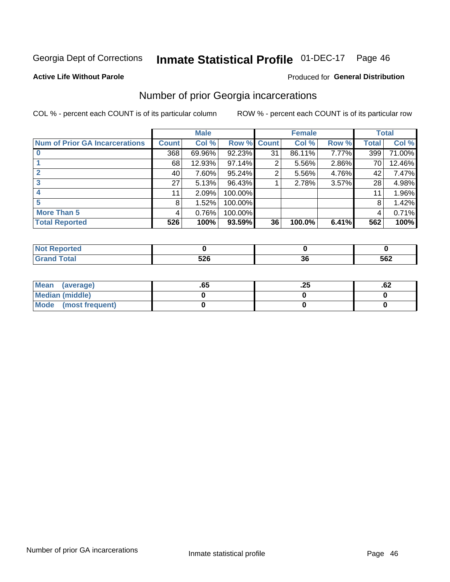#### Inmate Statistical Profile 01-DEC-17 Page 46

### **Active Life Without Parole**

### Produced for General Distribution

# Number of prior Georgia incarcerations

COL % - percent each COUNT is of its particular column

|                                       |                 | <b>Male</b> |             |    | <b>Female</b> |       |       | <b>Total</b> |
|---------------------------------------|-----------------|-------------|-------------|----|---------------|-------|-------|--------------|
| <b>Num of Prior GA Incarcerations</b> | <b>Count</b>    | Col %       | Row % Count |    | Col %         | Row % | Total | Col %        |
|                                       | 368             | 69.96%      | 92.23%      | 31 | 86.11%        | 7.77% | 399   | 71.00%       |
|                                       | 68              | 12.93%      | $97.14\%$   | 2  | 5.56%         | 2.86% | 70    | 12.46%       |
|                                       | 40              | 7.60%       | $95.24\%$   | 2  | 5.56%         | 4.76% | 42    | 7.47%        |
|                                       | 27 <sub>1</sub> | 5.13%       | 96.43%      |    | 2.78%         | 3.57% | 28    | 4.98%        |
|                                       | 11              | 2.09%       | 100.00%     |    |               |       | 11    | 1.96%        |
| 5                                     | 8               | 1.52%       | 100.00%     |    |               |       | 8     | 1.42%        |
| <b>More Than 5</b>                    | 4               | 0.76%       | 100.00%     |    |               |       | 4     | 0.71%        |
| <b>Total Reported</b>                 | 526             | 100%        | 93.59%      | 36 | 100.0%        | 6.41% | 562   | 100%         |

| rtea         |    |     |
|--------------|----|-----|
| <b>Total</b> | ^^ | 562 |

| Mean (average)       | .65 | ن ع | ٥۷. |
|----------------------|-----|-----|-----|
| Median (middle)      |     |     |     |
| Mode (most frequent) |     |     |     |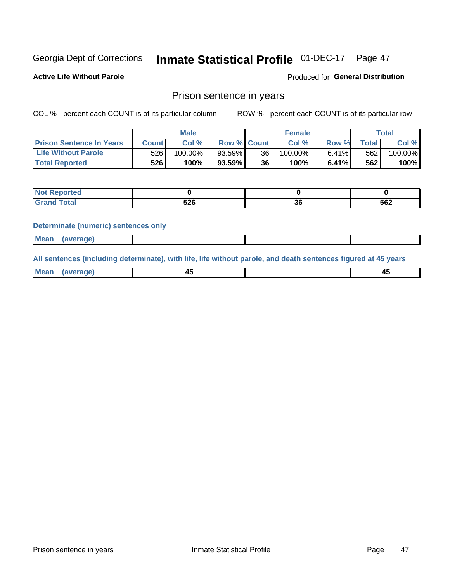#### Inmate Statistical Profile 01-DEC-17 Page 47

**Active Life Without Parole** 

Produced for General Distribution

## Prison sentence in years

COL % - percent each COUNT is of its particular column

ROW % - percent each COUNT is of its particular row

|                                 | <b>Male</b> |            |                    | <b>Female</b> |            |       | Total |         |
|---------------------------------|-------------|------------|--------------------|---------------|------------|-------|-------|---------|
| <b>Prison Sentence In Years</b> | Count l     | Col %      | <b>Row % Count</b> |               | Col %      | Row % | Total | Col %   |
| <b>Life Without Parole</b>      | 526         | $100.00\%$ | $93.59\%$          | 36            | $100.00\%$ | 6.41% | 562   | 100.00% |
| <b>Total Reported</b>           | 526         | 100%       | $93.59\%$          | 36            | $100\%$    | 6.41% | 562   | 100%    |

| . Reported<br>$\sim$ |             |   |     |
|----------------------|-------------|---|-----|
| <b>otal</b>          | - 20<br>ט∡ט | u | 562 |

### **Determinate (numeric) sentences only**

| <b>Mean</b><br><i>(average)</i> |  |
|---------------------------------|--|
|---------------------------------|--|

All sentences (including determinate), with life, life without parole, and death sentences figured at 45 years

| Me: |  |  |
|-----|--|--|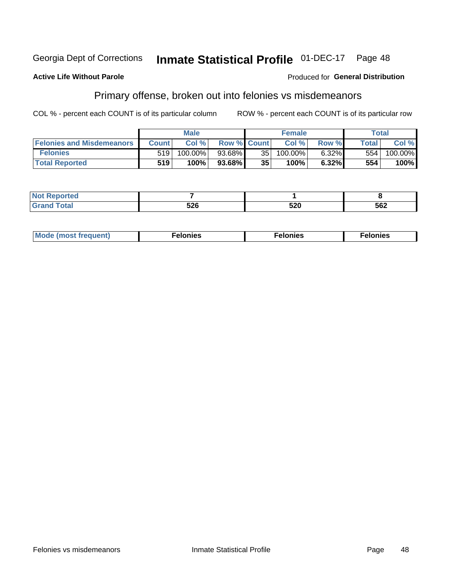#### **Inmate Statistical Profile 01-DEC-17** Georgia Dept of Corrections Page 48

### **Active Life Without Parole**

## **Produced for General Distribution**

# Primary offense, broken out into felonies vs misdemeanors

COL % - percent each COUNT is of its particular column

|                                  | <b>Male</b>  |         |                    | <b>Female</b> |         |       | <b>Total</b> |         |
|----------------------------------|--------------|---------|--------------------|---------------|---------|-------|--------------|---------|
| <b>Felonies and Misdemeanors</b> | <b>Count</b> | Col%    | <b>Row % Count</b> |               | Col%    | Row % | Total i      | Col %   |
| <b>Felonies</b>                  | 519          | 100.00% | 93.68%             | 35            | 100.00% | 6.32% | 554          | 100.00% |
| <b>Total Reported</b>            | 519'         | 100%    | 93.68%             | 35            | $100\%$ | 6.32% | 554          | 100%    |

| Not  <br><b>Reported</b>   |            |                   |     |
|----------------------------|------------|-------------------|-----|
| <b>Total</b><br>Grand<br>u | EOC<br>טבט | <b>EOO</b><br>ว∠บ | 562 |

| <b>Mode</b><br>frequent)<br>nies<br>≧ (most tr.<br>. | onies<br>. | lonies<br>ею<br>____ |
|------------------------------------------------------|------------|----------------------|
|------------------------------------------------------|------------|----------------------|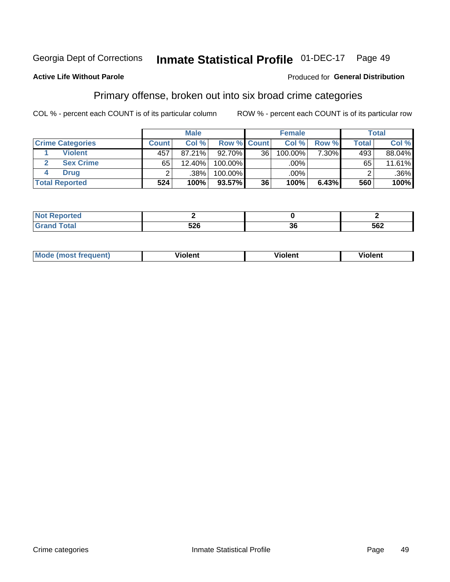#### **Inmate Statistical Profile 01-DEC-17** Georgia Dept of Corrections Page 49

### **Active Life Without Parole**

### Produced for General Distribution

# Primary offense, broken out into six broad crime categories

COL % - percent each COUNT is of its particular column

|                         | <b>Male</b>  |        |             | <b>Female</b> |         |       | Total        |         |
|-------------------------|--------------|--------|-------------|---------------|---------|-------|--------------|---------|
| <b>Crime Categories</b> | <b>Count</b> | Col%   | Row % Count |               | Col %   | Row % | <b>Total</b> | Col %   |
| <b>Violent</b>          | 457          | 87.21% | $92.70\%$   | 36            | 100.00% | 7.30% | 493          | 88.04%  |
| <b>Sex Crime</b>        | 65           | 12.40% | 100.00%     |               | .00%    |       | 65           | 11.61%  |
| <b>Drug</b>             |              | .38%   | 100.00%     |               | $.00\%$ |       |              | $.36\%$ |
| <b>Total Reported</b>   | 524          | 100%   | $93.57\%$   | 36            | 100%    | 6.43% | 560          | 100%    |

| __          |                   |          |     |
|-------------|-------------------|----------|-----|
| _<br>______ | E N.C<br>י<br>- - | ^^<br>эt | 562 |

| <b>Mode (most frequent)</b> | .             |         | .     |
|-----------------------------|---------------|---------|-------|
|                             | <b>ïolent</b> | ∕iolent | ∍lent |
|                             |               |         |       |
|                             |               |         |       |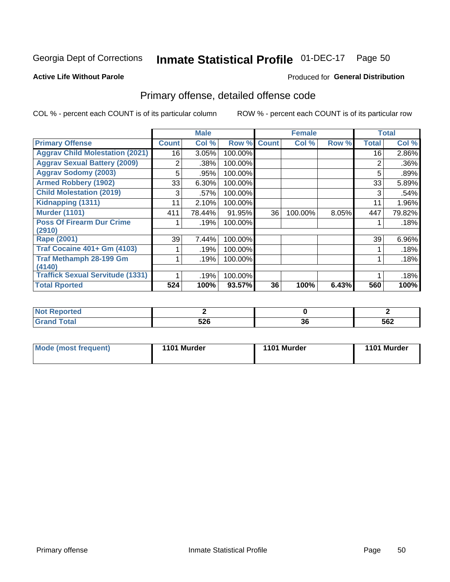#### **Inmate Statistical Profile 01-DEC-17** Page 50

### **Active Life Without Parole**

### Produced for General Distribution

# Primary offense, detailed offense code

COL % - percent each COUNT is of its particular column

|                                         |              | <b>Male</b> |         |              | <b>Female</b> |       |              | <b>Total</b> |
|-----------------------------------------|--------------|-------------|---------|--------------|---------------|-------|--------------|--------------|
| <b>Primary Offense</b>                  | <b>Count</b> | Col %       | Row %   | <b>Count</b> | Col %         | Row % | <b>Total</b> | Col %        |
| <b>Aggrav Child Molestation (2021)</b>  | 16           | 3.05%       | 100.00% |              |               |       | 16           | 2.86%        |
| <b>Aggrav Sexual Battery (2009)</b>     | 2            | .38%        | 100.00% |              |               |       | 2            | .36%         |
| <b>Aggrav Sodomy (2003)</b>             | 5            | .95%        | 100.00% |              |               |       | 5            | .89%         |
| <b>Armed Robbery (1902)</b>             | 33           | 6.30%       | 100.00% |              |               |       | 33           | 5.89%        |
| <b>Child Molestation (2019)</b>         | 3            | .57%        | 100.00% |              |               |       | 3            | .54%         |
| Kidnapping (1311)                       | 11           | 2.10%       | 100.00% |              |               |       | 11           | 1.96%        |
| <b>Murder (1101)</b>                    | 411          | 78.44%      | 91.95%  | 36           | 100.00%       | 8.05% | 447          | 79.82%       |
| <b>Poss Of Firearm Dur Crime</b>        |              | .19%        | 100.00% |              |               |       |              | .18%         |
| (2910)                                  |              |             |         |              |               |       |              |              |
| Rape (2001)                             | 39           | 7.44%       | 100.00% |              |               |       | 39           | 6.96%        |
| <b>Traf Cocaine 401+ Gm (4103)</b>      |              | .19%        | 100.00% |              |               |       |              | .18%         |
| <b>Traf Methamph 28-199 Gm</b>          |              | .19%        | 100.00% |              |               |       |              | .18%         |
| (4140)                                  |              |             |         |              |               |       |              |              |
| <b>Traffick Sexual Servitude (1331)</b> |              | .19%        | 100.00% |              |               |       |              | .18%         |
| <b>Total Rported</b>                    | 524          | 100%        | 93.57%  | 36           | 100%          | 6.43% | 560          | 100%         |

| ' Not<br>----<br><b>Reported</b><br>$\sim$ |            |          |     |
|--------------------------------------------|------------|----------|-----|
| <b>Total</b><br>Grai<br><b>UIUIU</b>       | につに<br>JZU | ^^<br>ುಂ | 562 |

| <b>Mode (most frequent)</b> | 1101 Murder | 1101 Murder | 1101 Murder |
|-----------------------------|-------------|-------------|-------------|
|                             |             |             |             |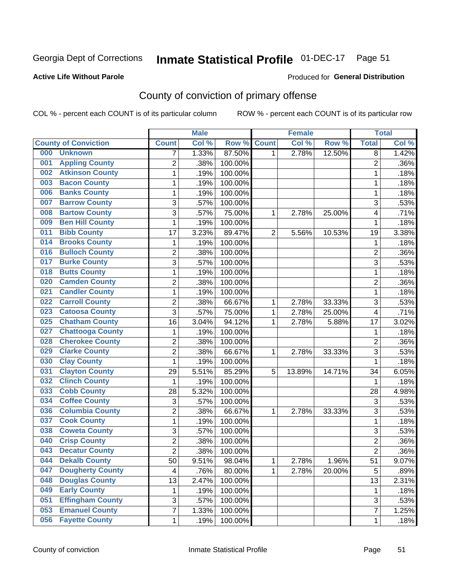# Inmate Statistical Profile 01-DEC-17 Page 51

### **Active Life Without Parole**

### Produced for General Distribution

# County of conviction of primary offense

COL % - percent each COUNT is of its particular column

|     |                             |                | <b>Male</b> |         |                | <b>Female</b> |          |                | <b>Total</b> |
|-----|-----------------------------|----------------|-------------|---------|----------------|---------------|----------|----------------|--------------|
|     | <b>County of Conviction</b> | <b>Count</b>   | Col %       | Row %   | <b>Count</b>   | Col %         | Row %    | <b>Total</b>   | Col%         |
| 000 | <b>Unknown</b>              | 7              | 1.33%       | 87.50%  | 1              | 2.78%         | 12.50%   | 8              | 1.42%        |
| 001 | <b>Appling County</b>       | $\overline{2}$ | .38%        | 100.00% |                |               |          | $\overline{2}$ | .36%         |
| 002 | <b>Atkinson County</b>      | $\mathbf{1}$   | .19%        | 100.00% |                |               |          | 1              | .18%         |
| 003 | <b>Bacon County</b>         | 1              | .19%        | 100.00% |                |               |          | 1              | .18%         |
| 006 | <b>Banks County</b>         | 1              | .19%        | 100.00% |                |               |          | 1              | .18%         |
| 007 | <b>Barrow County</b>        | 3              | .57%        | 100.00% |                |               |          | 3              | .53%         |
| 008 | <b>Bartow County</b>        | 3              | .57%        | 75.00%  | 1              | 2.78%         | 25.00%   | 4              | .71%         |
| 009 | <b>Ben Hill County</b>      | $\mathbf 1$    | .19%        | 100.00% |                |               |          | 1              | .18%         |
| 011 | <b>Bibb County</b>          | 17             | 3.23%       | 89.47%  | $\overline{2}$ | 5.56%         | 10.53%   | 19             | 3.38%        |
| 014 | <b>Brooks County</b>        | 1              | .19%        | 100.00% |                |               |          | 1              | .18%         |
| 016 | <b>Bulloch County</b>       | $\overline{c}$ | .38%        | 100.00% |                |               |          | $\overline{2}$ | .36%         |
| 017 | <b>Burke County</b>         | 3              | .57%        | 100.00% |                |               |          | $\overline{3}$ | .53%         |
| 018 | <b>Butts County</b>         | 1              | .19%        | 100.00% |                |               |          | 1              | .18%         |
| 020 | <b>Camden County</b>        | $\overline{2}$ | .38%        | 100.00% |                |               |          | $\overline{2}$ | .36%         |
| 021 | <b>Candler County</b>       | $\mathbf{1}$   | .19%        | 100.00% |                |               |          | $\mathbf{1}$   | .18%         |
| 022 | <b>Carroll County</b>       | $\overline{2}$ | .38%        | 66.67%  | 1              | 2.78%         | 33.33%   | 3              | .53%         |
| 023 | <b>Catoosa County</b>       | 3              | .57%        | 75.00%  | 1              | 2.78%         | 25.00%   | 4              | .71%         |
| 025 | <b>Chatham County</b>       | 16             | 3.04%       | 94.12%  | 1              | 2.78%         | 5.88%    | 17             | 3.02%        |
| 027 | <b>Chattooga County</b>     | 1              | .19%        | 100.00% |                |               |          | 1              | .18%         |
| 028 | <b>Cherokee County</b>      | $\overline{2}$ | .38%        | 100.00% |                |               |          | $\overline{2}$ | .36%         |
| 029 | <b>Clarke County</b>        | $\overline{c}$ | .38%        | 66.67%  | 1              | 2.78%         | 33.33%   | 3              | .53%         |
| 030 | <b>Clay County</b>          | $\mathbf{1}$   | .19%        | 100.00% |                |               |          | $\mathbf{1}$   | .18%         |
| 031 | <b>Clayton County</b>       | 29             | 5.51%       | 85.29%  | 5              | 13.89%        | 14.71%   | 34             | 6.05%        |
| 032 | <b>Clinch County</b>        | 1              | .19%        | 100.00% |                |               |          | $\mathbf 1$    | .18%         |
| 033 | <b>Cobb County</b>          | 28             | 5.32%       | 100.00% |                |               |          | 28             | 4.98%        |
| 034 | <b>Coffee County</b>        | 3              | .57%        | 100.00% |                |               |          | 3              | .53%         |
| 036 | <b>Columbia County</b>      | $\overline{2}$ | .38%        | 66.67%  | 1              | 2.78%         | 33.33%   | 3              | .53%         |
| 037 | <b>Cook County</b>          | $\mathbf 1$    | .19%        | 100.00% |                |               |          | $\mathbf{1}$   | .18%         |
| 038 | <b>Coweta County</b>        | 3              | .57%        | 100.00% |                |               |          | 3              | .53%         |
| 040 | <b>Crisp County</b>         | $\overline{2}$ | .38%        | 100.00% |                |               |          | $\overline{2}$ | .36%         |
| 043 | <b>Decatur County</b>       | $\overline{2}$ | .38%        | 100.00% |                |               |          | $\overline{2}$ | .36%         |
| 044 | <b>Dekalb County</b>        | 50             | 9.51%       | 98.04%  | 1              | 2.78%         | $1.96\%$ | 51             | $9.07\%$     |
| 047 | <b>Dougherty County</b>     | 4              | .76%        | 80.00%  | 1              | 2.78%         | 20.00%   | 5              | .89%         |
| 048 | <b>Douglas County</b>       | 13             | 2.47%       | 100.00% |                |               |          | 13             | 2.31%        |
| 049 | <b>Early County</b>         | 1              | .19%        | 100.00% |                |               |          | 1              | .18%         |
| 051 | <b>Effingham County</b>     | 3              | .57%        | 100.00% |                |               |          | 3              | .53%         |
| 053 | <b>Emanuel County</b>       | 7              | 1.33%       | 100.00% |                |               |          | $\overline{7}$ | 1.25%        |
| 056 | <b>Fayette County</b>       | $\mathbf 1$    | .19%        | 100.00% |                |               |          | $\mathbf 1$    | .18%         |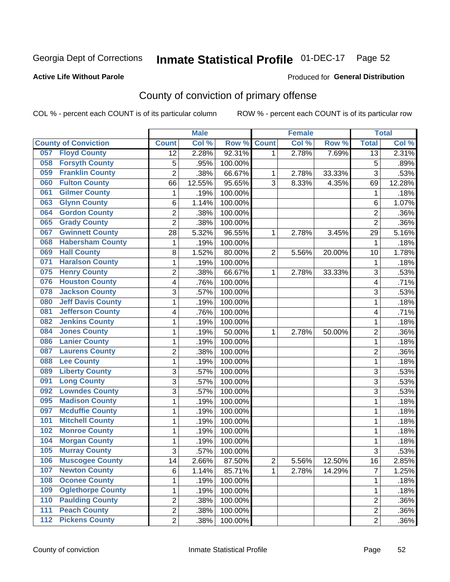# Inmate Statistical Profile 01-DEC-17 Page 52

### **Active Life Without Parole**

### Produced for General Distribution

# County of conviction of primary offense

COL % - percent each COUNT is of its particular column

|                                           |                         | <b>Male</b> |         |                | <b>Female</b> |        |                         | <b>Total</b> |
|-------------------------------------------|-------------------------|-------------|---------|----------------|---------------|--------|-------------------------|--------------|
| <b>County of Conviction</b>               | <b>Count</b>            | Col %       | Row %   | <b>Count</b>   | Col %         | Row %  | <b>Total</b>            | Col %        |
| <b>Floyd County</b><br>057                | 12                      | 2.28%       | 92.31%  | 1              | 2.78%         | 7.69%  | 13                      | 2.31%        |
| <b>Forsyth County</b><br>058              | 5                       | .95%        | 100.00% |                |               |        | 5                       | .89%         |
| <b>Franklin County</b><br>059             | $\overline{c}$          | .38%        | 66.67%  | 1              | 2.78%         | 33.33% | 3                       | .53%         |
| <b>Fulton County</b><br>060               | 66                      | 12.55%      | 95.65%  | 3              | 8.33%         | 4.35%  | 69                      | 12.28%       |
| <b>Gilmer County</b><br>061               | 1                       | .19%        | 100.00% |                |               |        | $\mathbf{1}$            | .18%         |
| <b>Glynn County</b><br>063                | 6                       | 1.14%       | 100.00% |                |               |        | $\,6$                   | 1.07%        |
| <b>Gordon County</b><br>064               | $\overline{c}$          | .38%        | 100.00% |                |               |        | $\overline{c}$          | .36%         |
| <b>Grady County</b><br>065                | $\overline{2}$          | .38%        | 100.00% |                |               |        | $\overline{2}$          | .36%         |
| <b>Gwinnett County</b><br>067             | 28                      | 5.32%       | 96.55%  | 1              | 2.78%         | 3.45%  | 29                      | 5.16%        |
| <b>Habersham County</b><br>068            | 1                       | .19%        | 100.00% |                |               |        | $\mathbf{1}$            | .18%         |
| <b>Hall County</b><br>069                 | 8                       | 1.52%       | 80.00%  | $\overline{2}$ | 5.56%         | 20.00% | 10                      | 1.78%        |
| <b>Haralson County</b><br>071             | 1                       | .19%        | 100.00% |                |               |        | 1                       | .18%         |
| <b>Henry County</b><br>075                | 2                       | .38%        | 66.67%  | 1              | 2.78%         | 33.33% | 3                       | .53%         |
| <b>Houston County</b><br>076              | $\overline{\mathbf{4}}$ | .76%        | 100.00% |                |               |        | $\overline{\mathbf{4}}$ | .71%         |
| <b>Jackson County</b><br>078              | 3                       | .57%        | 100.00% |                |               |        | 3                       | .53%         |
| <b>Jeff Davis County</b><br>080           | 1                       | .19%        | 100.00% |                |               |        | $\mathbf{1}$            | .18%         |
| <b>Jefferson County</b><br>081            | 4                       | .76%        | 100.00% |                |               |        | 4                       | .71%         |
| <b>Jenkins County</b><br>082              | 1                       | .19%        | 100.00% |                |               |        | 1                       | .18%         |
| <b>Jones County</b><br>084                | 1                       | .19%        | 50.00%  | 1              | 2.78%         | 50.00% | $\overline{c}$          | .36%         |
| <b>Lanier County</b><br>086               | 1                       | .19%        | 100.00% |                |               |        | $\mathbf{1}$            | .18%         |
| <b>Laurens County</b><br>087              | 2                       | .38%        | 100.00% |                |               |        | 2                       | .36%         |
| <b>Lee County</b><br>088                  | 1                       | .19%        | 100.00% |                |               |        | 1                       | .18%         |
| <b>Liberty County</b><br>089              | 3                       | .57%        | 100.00% |                |               |        | 3                       | .53%         |
| <b>Long County</b><br>091                 | $\overline{3}$          | .57%        | 100.00% |                |               |        | $\overline{3}$          | .53%         |
| <b>Lowndes County</b><br>092              | 3                       | .57%        | 100.00% |                |               |        | 3                       | .53%         |
| <b>Madison County</b><br>095              | 1                       | .19%        | 100.00% |                |               |        | 1                       | .18%         |
| <b>Mcduffie County</b><br>097             | 1                       | .19%        | 100.00% |                |               |        | 1                       | .18%         |
| <b>Mitchell County</b><br>101             | 1                       | .19%        | 100.00% |                |               |        | 1                       | .18%         |
| <b>Monroe County</b><br>102               | 1                       | .19%        | 100.00% |                |               |        | 1                       | .18%         |
| <b>Morgan County</b><br>104               | 1                       | .19%        | 100.00% |                |               |        | 1                       | .18%         |
| <b>Murray County</b><br>105               | 3                       | .57%        | 100.00% |                |               |        | 3                       | .53%         |
| 106<br><b>Muscogee County</b>             | 14                      | 2.66%       | 87.50%  | 2              | 5.56%         | 12.50% | 16                      | 2.85%        |
| <b>Newton County</b><br>107               | 6                       | 1.14%       | 85.71%  | 1              | 2.78%         | 14.29% | $\overline{7}$          | 1.25%        |
| <b>Oconee County</b><br>108               | 1                       | .19%        | 100.00% |                |               |        | 1                       | .18%         |
| <b>Oglethorpe County</b><br>109           | 1                       | .19%        | 100.00% |                |               |        | 1                       | .18%         |
| <b>Paulding County</b><br>110             | $\overline{\mathbf{c}}$ | .38%        | 100.00% |                |               |        | $\overline{2}$          | .36%         |
| <b>Peach County</b><br>111                | 2                       | .38%        | 100.00% |                |               |        | $\overline{2}$          | .36%         |
| <b>Pickens County</b><br>$\overline{112}$ | $\overline{2}$          | .38%        | 100.00% |                |               |        | $\overline{2}$          | .36%         |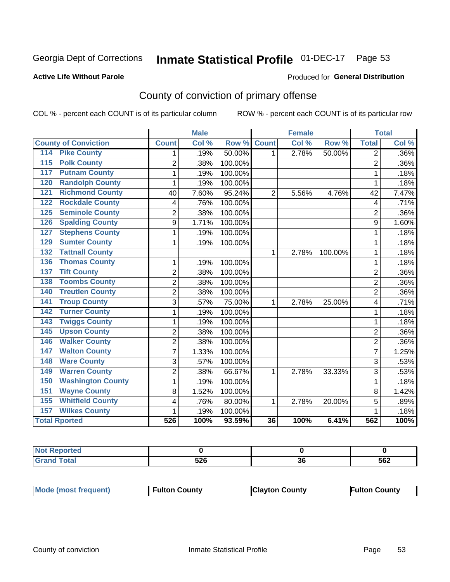#### **Inmate Statistical Profile 01-DEC-17** Page 53

### **Active Life Without Parole**

### Produced for General Distribution

# County of conviction of primary offense

COL % - percent each COUNT is of its particular column

|                                 |                  | <b>Male</b> |         |                | <b>Female</b> |         |                  | <b>Total</b> |
|---------------------------------|------------------|-------------|---------|----------------|---------------|---------|------------------|--------------|
| <b>County of Conviction</b>     | <b>Count</b>     | Col %       | Row %   | <b>Count</b>   | Col %         | Row %   | <b>Total</b>     | Col %        |
| <b>Pike County</b><br>114       | 1                | .19%        | 50.00%  | 1.             | 2.78%         | 50.00%  | 2                | .36%         |
| <b>Polk County</b><br>115       | $\overline{2}$   | .38%        | 100.00% |                |               |         | $\overline{2}$   | .36%         |
| <b>Putnam County</b><br>117     | 1                | .19%        | 100.00% |                |               |         | 1                | .18%         |
| <b>Randolph County</b><br>120   | 1                | .19%        | 100.00% |                |               |         | 1                | .18%         |
| <b>Richmond County</b><br>121   | 40               | 7.60%       | 95.24%  | $\overline{2}$ | 5.56%         | 4.76%   | 42               | 7.47%        |
| <b>Rockdale County</b><br>122   | 4                | .76%        | 100.00% |                |               |         | 4                | .71%         |
| <b>Seminole County</b><br>125   | $\overline{2}$   | .38%        | 100.00% |                |               |         | $\overline{2}$   | .36%         |
| <b>Spalding County</b><br>126   | 9                | 1.71%       | 100.00% |                |               |         | 9                | 1.60%        |
| <b>Stephens County</b><br>127   | 1                | .19%        | 100.00% |                |               |         | 1                | .18%         |
| <b>Sumter County</b><br>129     | 1                | .19%        | 100.00% |                |               |         | 1                | .18%         |
| <b>Tattnall County</b><br>132   |                  |             |         | 1              | 2.78%         | 100.00% | 1                | .18%         |
| <b>Thomas County</b><br>$136$   | 1                | .19%        | 100.00% |                |               |         | 1                | .18%         |
| <b>Tift County</b><br>137       | $\overline{2}$   | .38%        | 100.00% |                |               |         | $\overline{2}$   | .36%         |
| <b>Toombs County</b><br>138     | $\overline{2}$   | .38%        | 100.00% |                |               |         | $\overline{2}$   | .36%         |
| <b>Treutlen County</b><br>140   | 2                | .38%        | 100.00% |                |               |         | $\overline{2}$   | .36%         |
| <b>Troup County</b><br>141      | 3                | .57%        | 75.00%  | 1              | 2.78%         | 25.00%  | 4                | .71%         |
| <b>Turner County</b><br>142     | 1                | .19%        | 100.00% |                |               |         | 1                | .18%         |
| <b>Twiggs County</b><br>143     | 1                | .19%        | 100.00% |                |               |         | 1                | .18%         |
| <b>Upson County</b><br>145      | $\overline{2}$   | .38%        | 100.00% |                |               |         | $\overline{2}$   | .36%         |
| <b>Walker County</b><br>146     | $\overline{2}$   | .38%        | 100.00% |                |               |         | $\overline{2}$   | .36%         |
| <b>Walton County</b><br>147     | $\overline{7}$   | 1.33%       | 100.00% |                |               |         | $\overline{7}$   | 1.25%        |
| <b>Ware County</b><br>148       | 3                | .57%        | 100.00% |                |               |         | 3                | .53%         |
| <b>Warren County</b><br>149     | $\overline{2}$   | .38%        | 66.67%  | 1              | 2.78%         | 33.33%  | 3                | .53%         |
| <b>Washington County</b><br>150 | 1                | .19%        | 100.00% |                |               |         | 1                | .18%         |
| <b>Wayne County</b><br>151      | 8                | 1.52%       | 100.00% |                |               |         | 8                | 1.42%        |
| <b>Whitfield County</b><br>155  | 4                | .76%        | 80.00%  | 1              | 2.78%         | 20.00%  | 5                | .89%         |
| <b>Wilkes County</b><br>157     | 1                | .19%        | 100.00% |                |               |         | 1                | .18%         |
| <b>Total Rported</b>            | $\overline{526}$ | 100%        | 93.59%  | 36             | 100%          | 6.41%   | $\overline{562}$ | 100%         |

| prτea<br>$\cdots$ |            |         |     |
|-------------------|------------|---------|-----|
| $C = 4 - 7$       | につに<br>υ∠υ | ^'<br>u | 562 |

| <b>Mode (most frequent)</b> | <b>Fulton County</b> | <b>Clayton County</b> | <b>Fulton County</b> |
|-----------------------------|----------------------|-----------------------|----------------------|
|-----------------------------|----------------------|-----------------------|----------------------|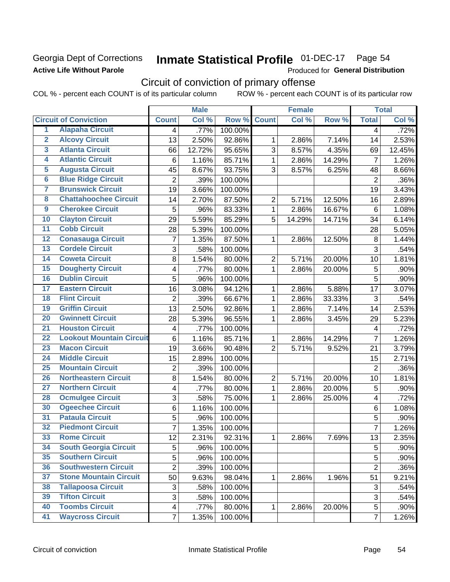## Georgia Dept of Corrections **Active Life Without Parole**

# Inmate Statistical Profile 01-DEC-17 Page 54

Produced for General Distribution

# Circuit of conviction of primary offense

COL % - percent each COUNT is of its particular column ROW % - percent each COUNT is of its particular row

|                         |                                 |                         | <b>Male</b> |         |                | <b>Female</b> |        |                 | <b>Total</b> |
|-------------------------|---------------------------------|-------------------------|-------------|---------|----------------|---------------|--------|-----------------|--------------|
|                         | <b>Circuit of Conviction</b>    | <b>Count</b>            | Col %       | Row %   | <b>Count</b>   | Col %         | Row %  | <b>Total</b>    | Col %        |
| 1                       | <b>Alapaha Circuit</b>          | 4                       | .77%        | 100.00% |                |               |        | 4               | .72%         |
| $\overline{2}$          | <b>Alcovy Circuit</b>           | 13                      | 2.50%       | 92.86%  | 1              | 2.86%         | 7.14%  | 14              | 2.53%        |
| $\overline{\mathbf{3}}$ | <b>Atlanta Circuit</b>          | 66                      | 12.72%      | 95.65%  | 3              | 8.57%         | 4.35%  | 69              | 12.45%       |
| 4                       | <b>Atlantic Circuit</b>         | 6                       | 1.16%       | 85.71%  | 1              | 2.86%         | 14.29% | 7               | 1.26%        |
| $\overline{5}$          | <b>Augusta Circuit</b>          | 45                      | 8.67%       | 93.75%  | 3              | 8.57%         | 6.25%  | 48              | 8.66%        |
| $\overline{\bf{6}}$     | <b>Blue Ridge Circuit</b>       | $\overline{2}$          | .39%        | 100.00% |                |               |        | $\overline{2}$  | .36%         |
| 7                       | <b>Brunswick Circuit</b>        | 19                      | 3.66%       | 100.00% |                |               |        | 19              | 3.43%        |
| 8                       | <b>Chattahoochee Circuit</b>    | 14                      | 2.70%       | 87.50%  | $\overline{2}$ | 5.71%         | 12.50% | 16              | 2.89%        |
| $\overline{9}$          | <b>Cherokee Circuit</b>         | 5                       | .96%        | 83.33%  | 1              | 2.86%         | 16.67% | $6\phantom{1}6$ | 1.08%        |
| 10                      | <b>Clayton Circuit</b>          | 29                      | 5.59%       | 85.29%  | 5              | 14.29%        | 14.71% | 34              | 6.14%        |
| $\overline{11}$         | <b>Cobb Circuit</b>             | 28                      | 5.39%       | 100.00% |                |               |        | 28              | 5.05%        |
| $\overline{12}$         | <b>Conasauga Circuit</b>        | $\overline{7}$          | 1.35%       | 87.50%  | 1              | 2.86%         | 12.50% | 8               | 1.44%        |
| 13                      | <b>Cordele Circuit</b>          | 3                       | .58%        | 100.00% |                |               |        | 3               | .54%         |
| 14                      | <b>Coweta Circuit</b>           | 8                       | 1.54%       | 80.00%  | $\overline{2}$ | 5.71%         | 20.00% | 10              | 1.81%        |
| $\overline{15}$         | <b>Dougherty Circuit</b>        | 4                       | .77%        | 80.00%  | $\mathbf{1}$   | 2.86%         | 20.00% | 5               | .90%         |
| 16                      | <b>Dublin Circuit</b>           | 5                       | .96%        | 100.00% |                |               |        | $\overline{5}$  | .90%         |
| 17                      | <b>Eastern Circuit</b>          | 16                      | 3.08%       | 94.12%  | 1              | 2.86%         | 5.88%  | 17              | 3.07%        |
| $\overline{18}$         | <b>Flint Circuit</b>            | $\overline{2}$          | .39%        | 66.67%  | 1              | 2.86%         | 33.33% | 3               | .54%         |
| 19                      | <b>Griffin Circuit</b>          | 13                      | 2.50%       | 92.86%  | 1              | 2.86%         | 7.14%  | 14              | 2.53%        |
| $\overline{20}$         | <b>Gwinnett Circuit</b>         | 28                      | 5.39%       | 96.55%  | 1              | 2.86%         | 3.45%  | 29              | 5.23%        |
| $\overline{21}$         | <b>Houston Circuit</b>          | 4                       | .77%        | 100.00% |                |               |        | 4               | .72%         |
| $\overline{22}$         | <b>Lookout Mountain Circuit</b> | $\,6$                   | 1.16%       | 85.71%  | 1              | 2.86%         | 14.29% | $\overline{7}$  | 1.26%        |
| 23                      | <b>Macon Circuit</b>            | 19                      | 3.66%       | 90.48%  | $\overline{2}$ | 5.71%         | 9.52%  | 21              | 3.79%        |
| $\overline{24}$         | <b>Middle Circuit</b>           | 15                      | 2.89%       | 100.00% |                |               |        | 15              | 2.71%        |
| $\overline{25}$         | <b>Mountain Circuit</b>         | $\overline{2}$          | .39%        | 100.00% |                |               |        | $\overline{2}$  | .36%         |
| 26                      | <b>Northeastern Circuit</b>     | 8                       | 1.54%       | 80.00%  | $\overline{2}$ | 5.71%         | 20.00% | 10              | 1.81%        |
| $\overline{27}$         | <b>Northern Circuit</b>         | 4                       | .77%        | 80.00%  | $\mathbf{1}$   | 2.86%         | 20.00% | 5               | .90%         |
| 28                      | <b>Ocmulgee Circuit</b>         | 3                       | .58%        | 75.00%  | 1              | 2.86%         | 25.00% | 4               | .72%         |
| 30                      | <b>Ogeechee Circuit</b>         | 6                       | 1.16%       | 100.00% |                |               |        | 6               | 1.08%        |
| $\overline{31}$         | <b>Pataula Circuit</b>          | 5                       | .96%        | 100.00% |                |               |        | 5               | .90%         |
| $\overline{32}$         | <b>Piedmont Circuit</b>         | $\overline{7}$          | 1.35%       | 100.00% |                |               |        | $\overline{7}$  | 1.26%        |
| 33                      | <b>Rome Circuit</b>             | 12                      | 2.31%       | 92.31%  | 1              | 2.86%         | 7.69%  | 13              | 2.35%        |
| 34                      | <b>South Georgia Circuit</b>    | 5                       | .96%        | 100.00% |                |               |        | 5               | .90%         |
| 35                      | <b>Southern Circuit</b>         | 5                       | .96%        | 100.00% |                |               |        | 5               | .90%         |
| 36                      | <b>Southwestern Circuit</b>     | $\overline{2}$          | .39%        | 100.00% |                |               |        | $\overline{2}$  | .36%         |
| 37                      | <b>Stone Mountain Circuit</b>   | 50                      | 9.63%       | 98.04%  | 1              | 2.86%         | 1.96%  | 51              | 9.21%        |
| 38                      | <b>Tallapoosa Circuit</b>       | 3                       | .58%        | 100.00% |                |               |        | 3               | .54%         |
| 39                      | <b>Tifton Circuit</b>           | 3                       | .58%        | 100.00% |                |               |        | 3               | .54%         |
| 40                      | <b>Toombs Circuit</b>           | $\overline{\mathbf{4}}$ | .77%        | 80.00%  | 1              | 2.86%         | 20.00% | 5               | $.90\%$      |
| 41                      | <b>Waycross Circuit</b>         | $\overline{7}$          | 1.35%       | 100.00% |                |               |        | $\overline{7}$  | 1.26%        |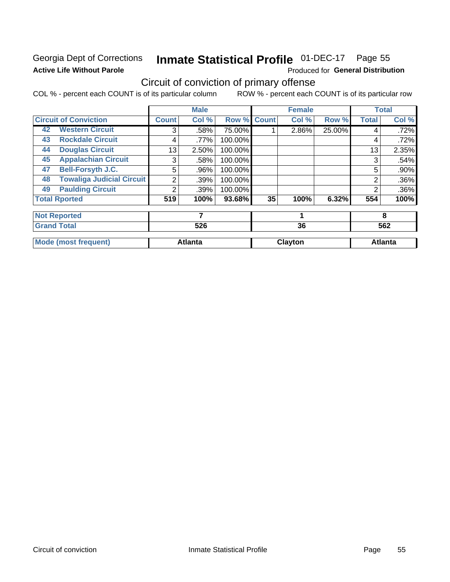# Georgia Dept of Corrections **Active Life Without Parole**

# Inmate Statistical Profile 01-DEC-17 Page 55

Produced for General Distribution

# Circuit of conviction of primary offense

COL % - percent each COUNT is of its particular column ROW % - percent each COUNT is of its particular row

|                                        |              | <b>Male</b>    |                    |    | <b>Female</b> |        |                | <b>Total</b>   |
|----------------------------------------|--------------|----------------|--------------------|----|---------------|--------|----------------|----------------|
| <b>Circuit of Conviction</b>           | <b>Count</b> | Col %          | <b>Row % Count</b> |    | Col %         | Row %  | <b>Total</b>   | Col %          |
| <b>Western Circuit</b><br>42           | 3            | .58%           | 75.00%             |    | 2.86%         | 25.00% | 4              | .72%           |
| <b>Rockdale Circuit</b><br>43          | 4            | .77%           | 100.00%            |    |               |        | 4              | .72%           |
| <b>Douglas Circuit</b><br>44           | 13           | 2.50%          | 100.00%            |    |               |        | 13             | 2.35%          |
| <b>Appalachian Circuit</b><br>45       | 3            | .58%           | 100.00%            |    |               |        | 3              | .54%           |
| <b>Bell-Forsyth J.C.</b><br>47         | 5            | .96%           | 100.00%            |    |               |        | 5              | .90%           |
| <b>Towaliga Judicial Circuit</b><br>48 | 2            | .39%           | 100.00%            |    |               |        | $\overline{2}$ | .36%           |
| <b>Paulding Circuit</b><br>49          | 2            | .39%           | 100.00%            |    |               |        | $\overline{2}$ | .36%           |
| <b>Total Rported</b>                   | 519          | 100%           | 93.68%             | 35 | 100%          | 6.32%  | 554            | 100%           |
| <b>Not Reported</b>                    |              | 7              |                    |    |               |        |                | 8              |
| <b>Grand Total</b>                     |              | 526            |                    |    | 36            |        |                | 562            |
| <b>Mode (most frequent)</b>            |              | <b>Atlanta</b> |                    |    | Clayton       |        |                | <b>Atlanta</b> |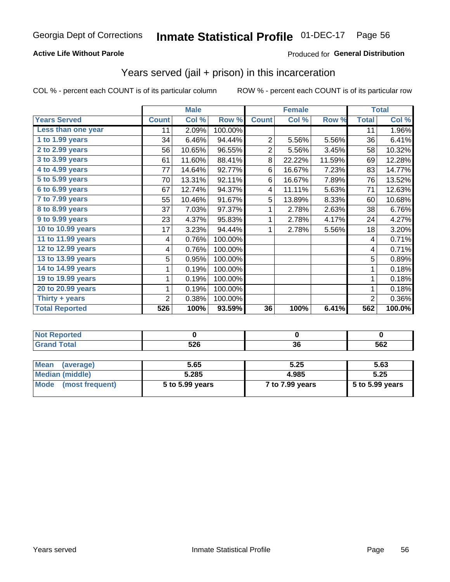## **Active Life Without Parole**

## Produced for General Distribution

# Years served (jail + prison) in this incarceration

COL % - percent each COUNT is of its particular column

|                       |              | <b>Male</b> |         |                | <b>Female</b> |        |              | <b>Total</b> |
|-----------------------|--------------|-------------|---------|----------------|---------------|--------|--------------|--------------|
| <b>Years Served</b>   | <b>Count</b> | Col %       | Row %   | <b>Count</b>   | Col %         | Row %  | <b>Total</b> | Col %        |
| Less than one year    | 11           | 2.09%       | 100.00% |                |               |        | 11           | 1.96%        |
| 1 to 1.99 years       | 34           | 6.46%       | 94.44%  | $\overline{2}$ | 5.56%         | 5.56%  | 36           | 6.41%        |
| 2 to 2.99 years       | 56           | 10.65%      | 96.55%  | $\overline{c}$ | 5.56%         | 3.45%  | 58           | 10.32%       |
| 3 to 3.99 years       | 61           | 11.60%      | 88.41%  | 8              | 22.22%        | 11.59% | 69           | 12.28%       |
| 4 to 4.99 years       | 77           | 14.64%      | 92.77%  | 6              | 16.67%        | 7.23%  | 83           | 14.77%       |
| 5 to 5.99 years       | 70           | 13.31%      | 92.11%  | 6              | 16.67%        | 7.89%  | 76           | 13.52%       |
| 6 to 6.99 years       | 67           | 12.74%      | 94.37%  | 4              | 11.11%        | 5.63%  | 71           | 12.63%       |
| 7 to 7.99 years       | 55           | 10.46%      | 91.67%  | 5              | 13.89%        | 8.33%  | 60           | 10.68%       |
| 8 to 8.99 years       | 37           | 7.03%       | 97.37%  | 1              | 2.78%         | 2.63%  | 38           | 6.76%        |
| 9 to 9.99 years       | 23           | 4.37%       | 95.83%  | 1              | 2.78%         | 4.17%  | 24           | 4.27%        |
| 10 to 10.99 years     | 17           | 3.23%       | 94.44%  | 1              | 2.78%         | 5.56%  | 18           | 3.20%        |
| 11 to 11.99 years     | 4            | 0.76%       | 100.00% |                |               |        | 4            | 0.71%        |
| 12 to 12.99 years     | 4            | 0.76%       | 100.00% |                |               |        | 4            | 0.71%        |
| 13 to 13.99 years     | 5            | 0.95%       | 100.00% |                |               |        | 5            | 0.89%        |
| 14 to 14.99 years     | 1            | 0.19%       | 100.00% |                |               |        | 1            | 0.18%        |
| 19 to 19.99 years     | 1            | 0.19%       | 100.00% |                |               |        | 1            | 0.18%        |
| 20 to 20.99 years     | 1            | 0.19%       | 100.00% |                |               |        | 1            | 0.18%        |
| Thirty + years        | 2            | 0.38%       | 100.00% |                |               |        | 2            | 0.36%        |
| <b>Total Reported</b> | 526          | 100%        | 93.59%  | 36             | 100%          | 6.41%  | 562          | 100.0%       |

| . е с |            |                      |     |
|-------|------------|----------------------|-----|
|       | <b>EOC</b> | $\ddot{\phantom{0}}$ | -00 |
|       | JŁU        | υu                   | ວ໐∠ |

| <b>Mean</b><br>(average) | 5.65            | 5.25            | 5.63            |
|--------------------------|-----------------|-----------------|-----------------|
| Median (middle)          | 5.285           | 4.985           | 5.25            |
| Mode (most frequent)     | 5 to 5.99 years | 7 to 7.99 years | 5 to 5.99 years |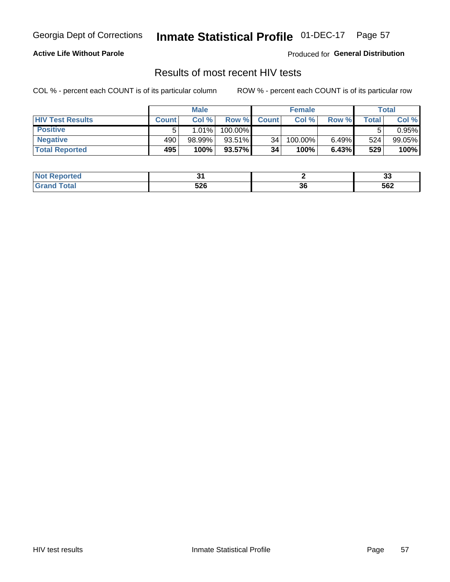# Inmate Statistical Profile 01-DEC-17 Page 57

## **Active Life Without Parole**

Produced for General Distribution

# Results of most recent HIV tests

COL % - percent each COUNT is of its particular column

|                         | <b>Male</b>  |           |           | <b>Female</b>   |         |       | Total |        |
|-------------------------|--------------|-----------|-----------|-----------------|---------|-------|-------|--------|
| <b>HIV Test Results</b> | <b>Count</b> | Col%      | Row %I    | <b>Count</b>    | Col %   | Row % | Total | Col %  |
| <b>Positive</b>         |              | 1.01%     | 100.00%   |                 |         |       |       | 0.95%  |
| <b>Negative</b>         | 490          | $98.99\%$ | 93.51%    | 34              | 100.00% | 6.49% | 524   | 99.05% |
| <b>Total Reported</b>   | 495          | 100%      | $93.57\%$ | 34 <sub>1</sub> | 100%    | 6.43% | 529   | 100%   |

| <b>Not Reported</b> |            |          | v   |
|---------------------|------------|----------|-----|
| int                 | こつへ<br>ס∠ס | ^^<br>ად | 562 |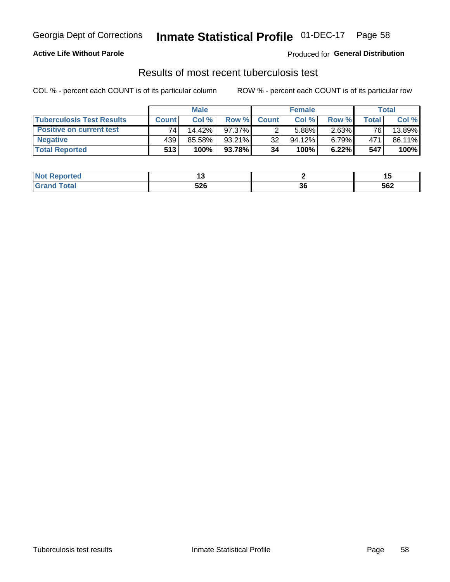# Georgia Dept of Corrections **Inmate Statistical Profile** 01-DEC-17 Page 58

## **Active Life Without Parole**

Produced for **General Distribution**

# Results of most recent tuberculosis test

COL % - percent each COUNT is of its particular column ROW % - percent each COUNT is of its particular row

|                                  | <b>Male</b>  |        |           | <b>Female</b> |           |          | Total |        |
|----------------------------------|--------------|--------|-----------|---------------|-----------|----------|-------|--------|
| <b>Tuberculosis Test Results</b> | <b>Count</b> | Col%   | Row %I    | <b>Count</b>  | Col%      | Row %    | Total | Col %  |
| <b>Positive on current test</b>  | 74           | 14.42% | $97.37\%$ |               | 5.88%     | $2.63\%$ | 76    | 13.89% |
| <b>Negative</b>                  | 439          | 85.58% | $93.21\%$ | 32            | $94.12\%$ | $6.79\%$ | 471   | 86.11% |
| <b>Total Reported</b>            | 513          | 100%   | 93.78%    | 34            | 100%      | 6.22%    | 547   | 100%   |

| <b>Not Reported</b> |            |          |     |
|---------------------|------------|----------|-----|
| int                 | こつへ<br>ס∠ס | ^^<br>ად | 562 |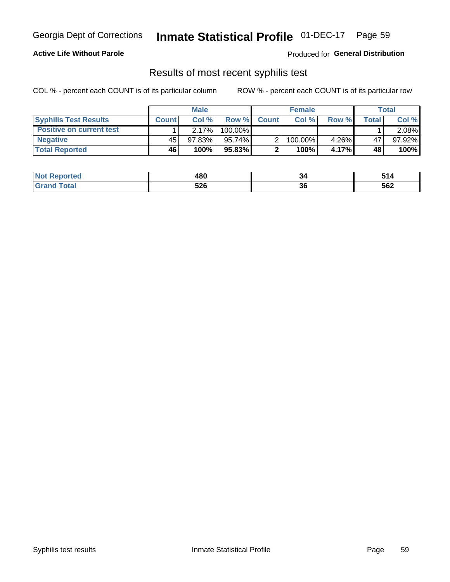# Georgia Dept of Corrections **Inmate Statistical Profile** 01-DEC-17 Page 59

## **Active Life Without Parole**

Produced for **General Distribution**

# Results of most recent syphilis test

COL % - percent each COUNT is of its particular column ROW % - percent each COUNT is of its particular row

|                                 | <b>Male</b>  |           |           | <b>Female</b> |         |       | Total |        |
|---------------------------------|--------------|-----------|-----------|---------------|---------|-------|-------|--------|
| <b>Syphilis Test Results</b>    | <b>Count</b> | Col%      |           | Row % Count   | Col %   | Row % | Total | Col %  |
| <b>Positive on current test</b> |              | 2.17%     | 100.00%   |               |         |       |       | 2.08%  |
| <b>Negative</b>                 | 45           | $97.83\%$ | $95.74\%$ |               | 100.00% | 4.26% | 47    | 97.92% |
| <b>Total Reported</b>           | 46           | 100%      | 95.83%    |               | 100%    | 4.17% | 48    | 100%   |

| <b>Not Reported</b> | 480 | 34       | - -<br>. . |
|---------------------|-----|----------|------------|
| <b>Total</b>        | 526 | ^^<br>კნ | 562        |